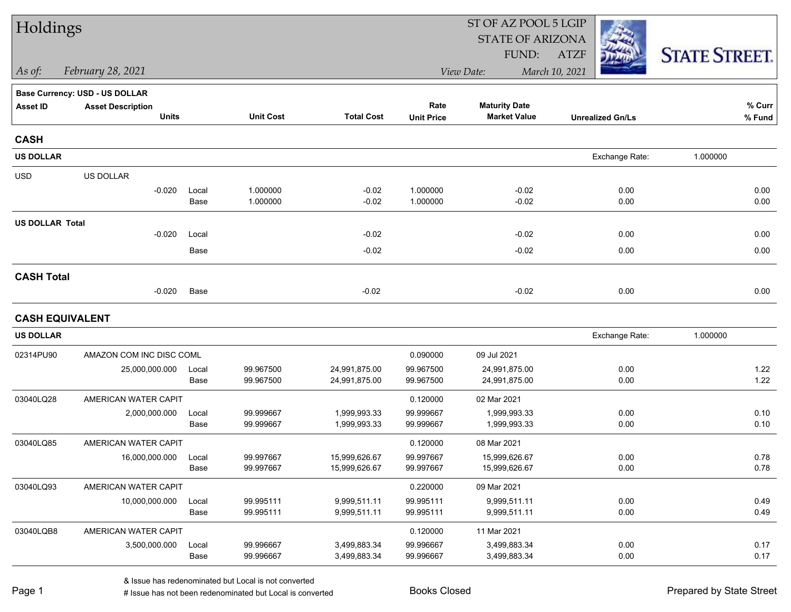| Holdings               |                                       |               |                        |                              |                        | ST OF AZ POOL 5 LGIP         |                         |                      |  |
|------------------------|---------------------------------------|---------------|------------------------|------------------------------|------------------------|------------------------------|-------------------------|----------------------|--|
|                        |                                       |               |                        |                              |                        | <b>STATE OF ARIZONA</b>      |                         |                      |  |
|                        |                                       |               |                        |                              |                        | FUND:                        | ATZF                    | <b>STATE STREET.</b> |  |
| As of:                 | February 28, 2021                     |               |                        |                              |                        | View Date:                   | March 10, 2021          |                      |  |
|                        | <b>Base Currency: USD - US DOLLAR</b> |               |                        |                              |                        |                              |                         |                      |  |
| <b>Asset ID</b>        | <b>Asset Description</b>              |               |                        |                              | Rate                   | <b>Maturity Date</b>         |                         | % Curr               |  |
|                        | <b>Units</b>                          |               | <b>Unit Cost</b>       | <b>Total Cost</b>            | <b>Unit Price</b>      | <b>Market Value</b>          | <b>Unrealized Gn/Ls</b> | % Fund               |  |
| <b>CASH</b>            |                                       |               |                        |                              |                        |                              |                         |                      |  |
| <b>US DOLLAR</b>       |                                       |               |                        |                              |                        |                              | Exchange Rate:          | 1.000000             |  |
| <b>USD</b>             | US DOLLAR                             |               |                        |                              |                        |                              |                         |                      |  |
|                        | $-0.020$                              | Local         | 1.000000               | $-0.02$                      | 1.000000               | $-0.02$                      | 0.00                    | 0.00                 |  |
|                        |                                       | Base          | 1.000000               | $-0.02$                      | 1.000000               | $-0.02$                      | 0.00                    | 0.00                 |  |
| <b>US DOLLAR Total</b> |                                       |               |                        |                              |                        |                              |                         |                      |  |
|                        | $-0.020$                              | Local         |                        | $-0.02$                      |                        | $-0.02$                      | 0.00                    | 0.00                 |  |
|                        |                                       | Base          |                        | $-0.02$                      |                        | $-0.02$                      | 0.00                    | 0.00                 |  |
| <b>CASH Total</b>      |                                       |               |                        |                              |                        |                              |                         |                      |  |
|                        | $-0.020$                              | Base          |                        | $-0.02$                      |                        | $-0.02$                      | 0.00                    | 0.00                 |  |
| <b>CASH EQUIVALENT</b> |                                       |               |                        |                              |                        |                              |                         |                      |  |
| <b>US DOLLAR</b>       |                                       |               |                        |                              |                        |                              | Exchange Rate:          | 1.000000             |  |
| 02314PU90              | AMAZON COM INC DISC COML              |               |                        |                              | 0.090000               | 09 Jul 2021                  |                         |                      |  |
|                        | 25,000,000.000                        | Local         | 99.967500              | 24,991,875.00                | 99.967500              | 24,991,875.00                | 0.00                    | 1.22                 |  |
|                        |                                       | Base          | 99.967500              | 24,991,875.00                | 99.967500              | 24,991,875.00                | 0.00                    | 1.22                 |  |
| 03040LQ28              | AMERICAN WATER CAPIT                  |               |                        |                              | 0.120000               | 02 Mar 2021                  |                         |                      |  |
|                        | 2,000,000.000                         | Local         | 99.999667              | 1,999,993.33                 | 99.999667              | 1,999,993.33                 | 0.00                    | 0.10                 |  |
|                        |                                       | Base          | 99.999667              | 1,999,993.33                 | 99.999667              | 1,999,993.33                 | 0.00                    | 0.10                 |  |
| 03040LQ85              | AMERICAN WATER CAPIT                  |               |                        |                              | 0.120000               | 08 Mar 2021                  |                         |                      |  |
|                        | 16,000,000.000                        | Local         | 99.997667              | 15,999,626.67                | 99.997667              | 15,999,626.67                | 0.00                    | 0.78<br>0.78         |  |
|                        |                                       | Base          | 99.997667              | 15,999,626.67                | 99.997667              | 15,999,626.67                | 0.00                    |                      |  |
| 03040LQ93              | AMERICAN WATER CAPIT                  |               |                        |                              | 0.220000               | 09 Mar 2021                  |                         |                      |  |
|                        | 10,000,000.000                        | Local<br>Base | 99.995111<br>99.995111 | 9,999,511.11<br>9,999,511.11 | 99.995111<br>99.995111 | 9,999,511.11<br>9,999,511.11 | 0.00<br>0.00            | 0.49<br>0.49         |  |
|                        |                                       |               |                        |                              |                        |                              |                         |                      |  |
| 03040LQB8              | AMERICAN WATER CAPIT                  |               |                        |                              | 0.120000               | 11 Mar 2021                  |                         |                      |  |
|                        | 3,500,000.000                         | Local<br>Base | 99.996667<br>99.996667 | 3,499,883.34<br>3,499,883.34 | 99.996667<br>99.996667 | 3,499,883.34<br>3,499,883.34 | 0.00<br>0.00            | 0.17<br>0.17         |  |
|                        |                                       |               |                        |                              |                        |                              |                         |                      |  |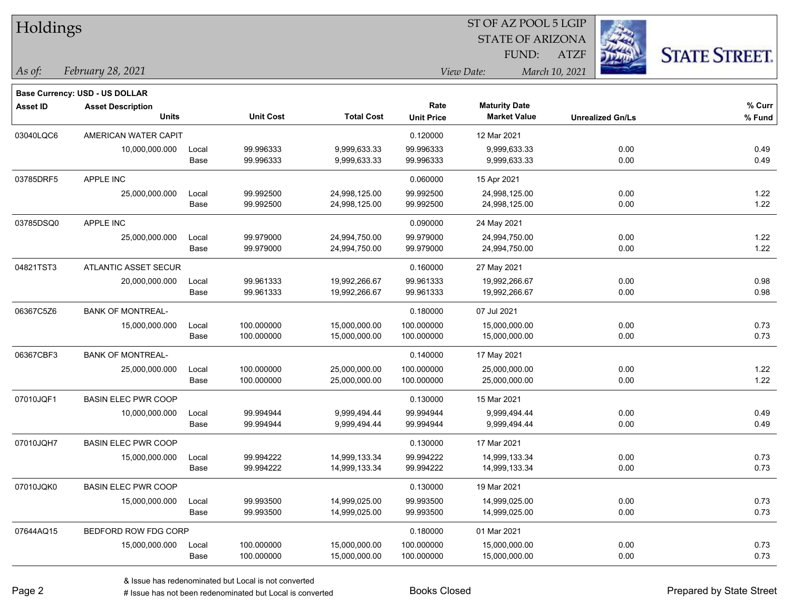| Holdings        |                                       |       |                  |                   |                   |                         |                         |                      |
|-----------------|---------------------------------------|-------|------------------|-------------------|-------------------|-------------------------|-------------------------|----------------------|
|                 |                                       |       |                  |                   |                   | <b>STATE OF ARIZONA</b> |                         |                      |
|                 |                                       |       |                  |                   |                   | FUND:                   | <b>ATZF</b>             | <b>STATE STREET.</b> |
| As of:          | February 28, 2021                     |       |                  |                   |                   | View Date:              | March 10, 2021          |                      |
|                 | <b>Base Currency: USD - US DOLLAR</b> |       |                  |                   |                   |                         |                         |                      |
| <b>Asset ID</b> | <b>Asset Description</b>              |       |                  |                   | Rate              | <b>Maturity Date</b>    |                         | % Curr               |
|                 | <b>Units</b>                          |       | <b>Unit Cost</b> | <b>Total Cost</b> | <b>Unit Price</b> | <b>Market Value</b>     | <b>Unrealized Gn/Ls</b> | % Fund               |
| 03040LQC6       | AMERICAN WATER CAPIT                  |       |                  |                   | 0.120000          | 12 Mar 2021             |                         |                      |
|                 | 10,000,000.000                        | Local | 99.996333        | 9,999,633.33      | 99.996333         | 9,999,633.33            | 0.00                    | 0.49                 |
|                 |                                       | Base  | 99.996333        | 9,999,633.33      | 99.996333         | 9,999,633.33            | 0.00                    | 0.49                 |
| 03785DRF5       | APPLE INC                             |       |                  |                   | 0.060000          | 15 Apr 2021             |                         |                      |
|                 | 25,000,000.000                        | Local | 99.992500        | 24,998,125.00     | 99.992500         | 24,998,125.00           | 0.00                    | 1.22                 |
|                 |                                       | Base  | 99.992500        | 24,998,125.00     | 99.992500         | 24,998,125.00           | 0.00                    | 1.22                 |
| 03785DSQ0       | <b>APPLE INC</b>                      |       |                  |                   | 0.090000          | 24 May 2021             |                         |                      |
|                 | 25,000,000.000                        | Local | 99.979000        | 24,994,750.00     | 99.979000         | 24,994,750.00           | 0.00                    | 1.22                 |
|                 |                                       | Base  | 99.979000        | 24,994,750.00     | 99.979000         | 24,994,750.00           | 0.00                    | 1.22                 |
| 04821TST3       | ATLANTIC ASSET SECUR                  |       |                  |                   | 0.160000          | 27 May 2021             |                         |                      |
|                 | 20,000,000.000                        | Local | 99.961333        | 19,992,266.67     | 99.961333         | 19,992,266.67           | 0.00                    | 0.98                 |
|                 |                                       | Base  | 99.961333        | 19,992,266.67     | 99.961333         | 19,992,266.67           | 0.00                    | 0.98                 |
| 06367C5Z6       | <b>BANK OF MONTREAL-</b>              |       |                  |                   | 0.180000          | 07 Jul 2021             |                         |                      |
|                 | 15,000,000.000                        | Local | 100.000000       | 15,000,000.00     | 100.000000        | 15,000,000.00           | 0.00                    | 0.73                 |
|                 |                                       | Base  | 100.000000       | 15,000,000.00     | 100.000000        | 15,000,000.00           | 0.00                    | 0.73                 |
| 06367CBF3       | <b>BANK OF MONTREAL-</b>              |       |                  |                   | 0.140000          | 17 May 2021             |                         |                      |
|                 | 25,000,000.000                        | Local | 100.000000       | 25,000,000.00     | 100.000000        | 25,000,000.00           | 0.00                    | 1.22                 |
|                 |                                       | Base  | 100.000000       | 25,000,000.00     | 100.000000        | 25,000,000.00           | 0.00                    | 1.22                 |
| 07010JQF1       | <b>BASIN ELEC PWR COOP</b>            |       |                  |                   | 0.130000          | 15 Mar 2021             |                         |                      |
|                 | 10,000,000.000                        | Local | 99.994944        | 9,999,494.44      | 99.994944         | 9,999,494.44            | 0.00                    | 0.49                 |
|                 |                                       | Base  | 99.994944        | 9,999,494.44      | 99.994944         | 9,999,494.44            | 0.00                    | 0.49                 |
| 07010JQH7       | <b>BASIN ELEC PWR COOP</b>            |       |                  |                   | 0.130000          | 17 Mar 2021             |                         |                      |
|                 | 15,000,000.000                        | Local | 99.994222        | 14,999,133.34     | 99.994222         | 14,999,133.34           | 0.00                    | 0.73                 |
|                 |                                       | Base  | 99.994222        | 14,999,133.34     | 99.994222         | 14,999,133.34           | 0.00                    | 0.73                 |
| 07010JQK0       | <b>BASIN ELEC PWR COOP</b>            |       |                  |                   | 0.130000          | 19 Mar 2021             |                         |                      |
|                 | 15,000,000.000                        | Local | 99.993500        | 14,999,025.00     | 99.993500         | 14,999,025.00           | 0.00                    | 0.73                 |
|                 |                                       | Base  | 99.993500        | 14,999,025.00     | 99.993500         | 14,999,025.00           | 0.00                    | 0.73                 |
| 07644AQ15       | BEDFORD ROW FDG CORP                  |       |                  |                   | 0.180000          | 01 Mar 2021             |                         |                      |
|                 | 15,000,000.000                        | Local | 100.000000       | 15,000,000.00     | 100.000000        | 15,000,000.00           | 0.00                    | 0.73                 |
|                 |                                       | Base  | 100.000000       | 15,000,000.00     | 100.000000        | 15,000,000.00           | 0.00                    | 0.73                 |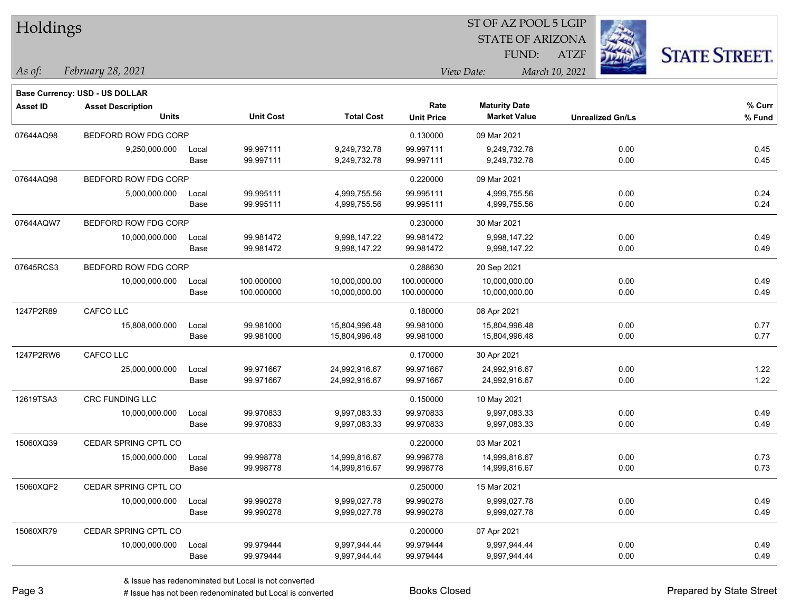| Holdings        |                                       |       |                  |                   |                   |                         | ST OF AZ POOL 5 LGIP    |      |                      |
|-----------------|---------------------------------------|-------|------------------|-------------------|-------------------|-------------------------|-------------------------|------|----------------------|
|                 |                                       |       |                  |                   |                   | <b>STATE OF ARIZONA</b> |                         |      |                      |
|                 |                                       |       |                  |                   |                   | FUND:                   | <b>ATZF</b>             |      | <b>STATE STREET.</b> |
| As of:          | February 28, 2021                     |       |                  |                   |                   | View Date:              | March 10, 2021          |      |                      |
|                 | <b>Base Currency: USD - US DOLLAR</b> |       |                  |                   |                   |                         |                         |      |                      |
| <b>Asset ID</b> | <b>Asset Description</b>              |       |                  |                   | Rate              | <b>Maturity Date</b>    |                         |      | % Curr               |
|                 | <b>Units</b>                          |       | <b>Unit Cost</b> | <b>Total Cost</b> | <b>Unit Price</b> | <b>Market Value</b>     | <b>Unrealized Gn/Ls</b> |      | % Fund               |
| 07644AQ98       | BEDFORD ROW FDG CORP                  |       |                  |                   | 0.130000          | 09 Mar 2021             |                         |      |                      |
|                 | 9,250,000.000                         | Local | 99.997111        | 9,249,732.78      | 99.997111         | 9,249,732.78            |                         | 0.00 | 0.45                 |
|                 |                                       | Base  | 99.997111        | 9,249,732.78      | 99.997111         | 9,249,732.78            |                         | 0.00 | 0.45                 |
| 07644AQ98       | BEDFORD ROW FDG CORP                  |       |                  |                   | 0.220000          | 09 Mar 2021             |                         |      |                      |
|                 | 5,000,000.000                         | Local | 99.995111        | 4,999,755.56      | 99.995111         | 4,999,755.56            |                         | 0.00 | 0.24                 |
|                 |                                       | Base  | 99.995111        | 4,999,755.56      | 99.995111         | 4,999,755.56            |                         | 0.00 | 0.24                 |
| 07644AQW7       | BEDFORD ROW FDG CORP                  |       |                  |                   | 0.230000          | 30 Mar 2021             |                         |      |                      |
|                 | 10,000,000.000                        | Local | 99.981472        | 9,998,147.22      | 99.981472         | 9,998,147.22            |                         | 0.00 | 0.49                 |
|                 |                                       | Base  | 99.981472        | 9,998,147.22      | 99.981472         | 9,998,147.22            |                         | 0.00 | 0.49                 |
| 07645RCS3       | BEDFORD ROW FDG CORP                  |       |                  |                   | 0.288630          | 20 Sep 2021             |                         |      |                      |
|                 | 10,000,000.000                        | Local | 100.000000       | 10,000,000.00     | 100.000000        | 10,000,000.00           |                         | 0.00 | 0.49                 |
|                 |                                       | Base  | 100.000000       | 10,000,000.00     | 100.000000        | 10,000,000.00           |                         | 0.00 | 0.49                 |
| 1247P2R89       | CAFCO LLC                             |       |                  |                   | 0.180000          | 08 Apr 2021             |                         |      |                      |
|                 | 15,808,000.000                        | Local | 99.981000        | 15,804,996.48     | 99.981000         | 15,804,996.48           |                         | 0.00 | 0.77                 |
|                 |                                       | Base  | 99.981000        | 15,804,996.48     | 99.981000         | 15,804,996.48           |                         | 0.00 | 0.77                 |
| 1247P2RW6       | CAFCO LLC                             |       |                  |                   | 0.170000          | 30 Apr 2021             |                         |      |                      |
|                 | 25,000,000.000                        | Local | 99.971667        | 24,992,916.67     | 99.971667         | 24,992,916.67           |                         | 0.00 | 1.22                 |
|                 |                                       | Base  | 99.971667        | 24,992,916.67     | 99.971667         | 24,992,916.67           |                         | 0.00 | 1.22                 |
| 12619TSA3       | CRC FUNDING LLC                       |       |                  |                   | 0.150000          | 10 May 2021             |                         |      |                      |
|                 | 10,000,000.000                        | Local | 99.970833        | 9,997,083.33      | 99.970833         | 9,997,083.33            |                         | 0.00 | 0.49                 |
|                 |                                       | Base  | 99.970833        | 9,997,083.33      | 99.970833         | 9,997,083.33            |                         | 0.00 | 0.49                 |
| 15060XQ39       | CEDAR SPRING CPTL CO                  |       |                  |                   | 0.220000          | 03 Mar 2021             |                         |      |                      |
|                 | 15,000,000.000                        | Local | 99.998778        | 14,999,816.67     | 99.998778         | 14,999,816.67           |                         | 0.00 | 0.73                 |
|                 |                                       | Base  | 99.998778        | 14,999,816.67     | 99.998778         | 14,999,816.67           |                         | 0.00 | 0.73                 |
| 15060XQF2       | CEDAR SPRING CPTL CO                  |       |                  |                   | 0.250000          | 15 Mar 2021             |                         |      |                      |
|                 | 10,000,000.000                        | Local | 99.990278        | 9,999,027.78      | 99.990278         | 9,999,027.78            |                         | 0.00 | 0.49                 |
|                 |                                       | Base  | 99.990278        | 9,999,027.78      | 99.990278         | 9,999,027.78            |                         | 0.00 | 0.49                 |
| 15060XR79       | CEDAR SPRING CPTL CO                  |       |                  |                   | 0.200000          | 07 Apr 2021             |                         |      |                      |
|                 | 10,000,000.000                        | Local | 99.979444        | 9,997,944.44      | 99.979444         | 9,997,944.44            |                         | 0.00 | 0.49                 |
|                 |                                       | Base  | 99.979444        | 9,997,944.44      | 99.979444         | 9,997,944.44            |                         | 0.00 | 0.49                 |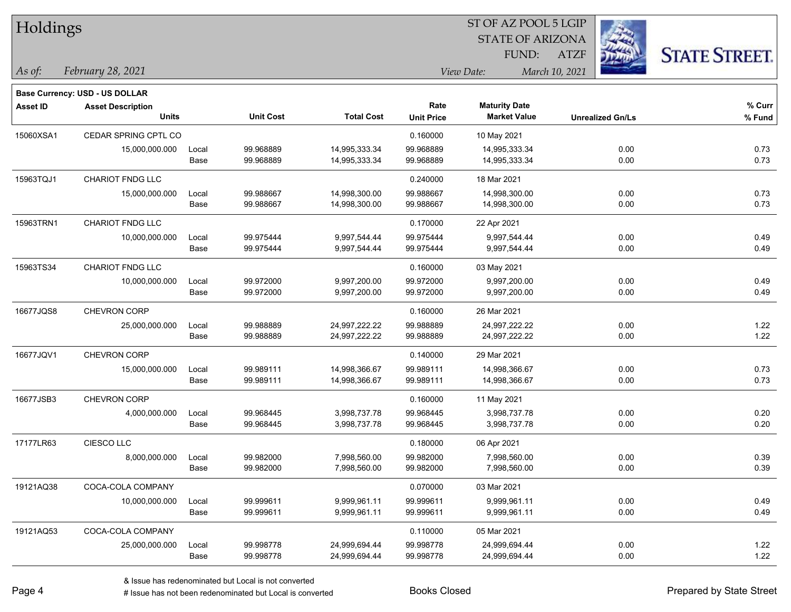| Holdings        |                                          |       |                  |                   |                           |                                             | ST OF AZ POOL 5 LGIP |                         |                      |  |
|-----------------|------------------------------------------|-------|------------------|-------------------|---------------------------|---------------------------------------------|----------------------|-------------------------|----------------------|--|
|                 |                                          |       |                  |                   |                           | <b>STATE OF ARIZONA</b>                     |                      |                         |                      |  |
|                 |                                          |       |                  |                   |                           | FUND:                                       | <b>ATZF</b>          |                         | <b>STATE STREET.</b> |  |
| As of:          | February 28, 2021                        |       |                  |                   |                           | View Date:                                  | March 10, 2021       |                         |                      |  |
|                 |                                          |       |                  |                   |                           |                                             |                      |                         |                      |  |
|                 | <b>Base Currency: USD - US DOLLAR</b>    |       |                  |                   |                           |                                             |                      |                         |                      |  |
| <b>Asset ID</b> | <b>Asset Description</b><br><b>Units</b> |       | <b>Unit Cost</b> | <b>Total Cost</b> | Rate<br><b>Unit Price</b> | <b>Maturity Date</b><br><b>Market Value</b> |                      | <b>Unrealized Gn/Ls</b> | % Curr<br>% Fund     |  |
|                 |                                          |       |                  |                   |                           |                                             |                      |                         |                      |  |
| 15060XSA1       | CEDAR SPRING CPTL CO                     |       |                  |                   | 0.160000                  | 10 May 2021                                 |                      |                         |                      |  |
|                 | 15,000,000.000                           | Local | 99.968889        | 14,995,333.34     | 99.968889                 | 14,995,333.34                               |                      | 0.00                    | 0.73                 |  |
|                 |                                          | Base  | 99.968889        | 14,995,333.34     | 99.968889                 | 14,995,333.34                               |                      | 0.00                    | 0.73                 |  |
| 15963TQJ1       | CHARIOT FNDG LLC                         |       |                  |                   | 0.240000                  | 18 Mar 2021                                 |                      |                         |                      |  |
|                 | 15,000,000.000                           | Local | 99.988667        | 14,998,300.00     | 99.988667                 | 14,998,300.00                               |                      | 0.00                    | 0.73                 |  |
|                 |                                          | Base  | 99.988667        | 14,998,300.00     | 99.988667                 | 14,998,300.00                               |                      | 0.00                    | 0.73                 |  |
| 15963TRN1       | <b>CHARIOT FNDG LLC</b>                  |       |                  |                   | 0.170000                  | 22 Apr 2021                                 |                      |                         |                      |  |
|                 | 10,000,000.000                           | Local | 99.975444        | 9,997,544.44      | 99.975444                 | 9,997,544.44                                |                      | 0.00                    | 0.49                 |  |
|                 |                                          | Base  | 99.975444        | 9,997,544.44      | 99.975444                 | 9,997,544.44                                |                      | 0.00                    | 0.49                 |  |
| 15963TS34       | <b>CHARIOT FNDG LLC</b>                  |       |                  |                   | 0.160000                  | 03 May 2021                                 |                      |                         |                      |  |
|                 | 10,000,000.000                           | Local | 99.972000        | 9,997,200.00      | 99.972000                 | 9.997.200.00                                |                      | 0.00                    | 0.49                 |  |
|                 |                                          | Base  | 99.972000        | 9,997,200.00      | 99.972000                 | 9,997,200.00                                |                      | 0.00                    | 0.49                 |  |
| 16677JQS8       | CHEVRON CORP                             |       |                  |                   | 0.160000                  | 26 Mar 2021                                 |                      |                         |                      |  |
|                 | 25,000,000.000                           | Local | 99.988889        | 24,997,222.22     | 99.988889                 | 24,997,222.22                               |                      | 0.00                    | 1.22                 |  |
|                 |                                          | Base  | 99.988889        | 24,997,222.22     | 99.988889                 | 24,997,222.22                               |                      | 0.00                    | 1.22                 |  |
| 16677JQV1       | <b>CHEVRON CORP</b>                      |       |                  |                   | 0.140000                  | 29 Mar 2021                                 |                      |                         |                      |  |
|                 | 15,000,000.000                           | Local | 99.989111        | 14,998,366.67     | 99.989111                 | 14,998,366.67                               |                      | 0.00                    | 0.73                 |  |
|                 |                                          | Base  | 99.989111        | 14,998,366.67     | 99.989111                 | 14,998,366.67                               |                      | 0.00                    | 0.73                 |  |
| 16677JSB3       | CHEVRON CORP                             |       |                  |                   | 0.160000                  | 11 May 2021                                 |                      |                         |                      |  |
|                 | 4,000,000.000                            | Local | 99.968445        | 3,998,737.78      | 99.968445                 | 3,998,737.78                                |                      | 0.00                    | 0.20                 |  |
|                 |                                          | Base  | 99.968445        | 3,998,737.78      | 99.968445                 | 3,998,737.78                                |                      | 0.00                    | 0.20                 |  |
| 17177LR63       | CIESCO LLC                               |       |                  |                   | 0.180000                  | 06 Apr 2021                                 |                      |                         |                      |  |
|                 | 8,000,000.000                            | Local | 99.982000        | 7,998,560.00      | 99.982000                 | 7,998,560.00                                |                      | 0.00                    | 0.39                 |  |
|                 |                                          | Base  | 99.982000        | 7,998,560.00      | 99.982000                 | 7,998,560.00                                |                      | 0.00                    | 0.39                 |  |
| 19121AQ38       | COCA-COLA COMPANY                        |       |                  |                   | 0.070000                  | 03 Mar 2021                                 |                      |                         |                      |  |
|                 | 10,000,000.000                           | Local | 99.999611        | 9,999,961.11      | 99.999611                 | 9,999,961.11                                |                      | 0.00                    | 0.49                 |  |
|                 |                                          | Base  | 99.999611        | 9,999,961.11      | 99.999611                 | 9,999,961.11                                |                      | 0.00                    | 0.49                 |  |
| 19121AQ53       | COCA-COLA COMPANY                        |       |                  |                   | 0.110000                  | 05 Mar 2021                                 |                      |                         |                      |  |
|                 | 25,000,000.000                           | Local | 99.998778        | 24,999,694.44     | 99.998778                 | 24,999,694.44                               |                      | 0.00                    | 1.22                 |  |
|                 |                                          | Base  | 99.998778        | 24,999,694.44     | 99.998778                 | 24,999,694.44                               |                      | 0.00                    | 1.22                 |  |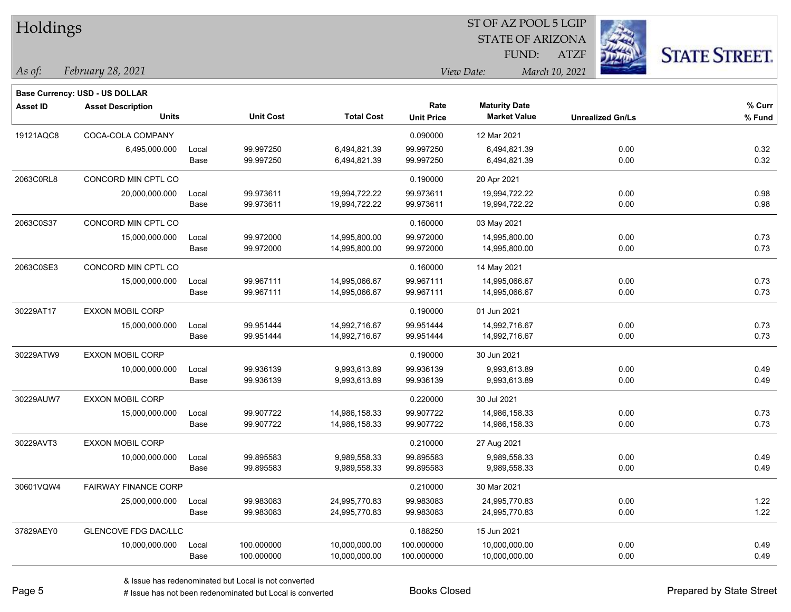| Holdings        |                                |       |                  |                   | ST OF AZ POOL 5 LGIP |                         |                         |                      |  |  |
|-----------------|--------------------------------|-------|------------------|-------------------|----------------------|-------------------------|-------------------------|----------------------|--|--|
|                 |                                |       |                  |                   |                      | <b>STATE OF ARIZONA</b> |                         |                      |  |  |
|                 |                                |       |                  |                   |                      | FUND:                   | <b>ATZF</b>             | <b>STATE STREET.</b> |  |  |
| As of:          | February 28, 2021              |       |                  |                   |                      | View Date:              | March 10, 2021          |                      |  |  |
|                 | Base Currency: USD - US DOLLAR |       |                  |                   |                      |                         |                         |                      |  |  |
| <b>Asset ID</b> | <b>Asset Description</b>       |       |                  |                   | Rate                 | <b>Maturity Date</b>    |                         | % Curr               |  |  |
|                 | <b>Units</b>                   |       | <b>Unit Cost</b> | <b>Total Cost</b> | <b>Unit Price</b>    | <b>Market Value</b>     | <b>Unrealized Gn/Ls</b> | % Fund               |  |  |
| 19121AQC8       | COCA-COLA COMPANY              |       |                  |                   | 0.090000             | 12 Mar 2021             |                         |                      |  |  |
|                 | 6,495,000.000                  | Local | 99.997250        | 6,494,821.39      | 99.997250            | 6,494,821.39            | 0.00                    | 0.32                 |  |  |
|                 |                                | Base  | 99.997250        | 6,494,821.39      | 99.997250            | 6,494,821.39            | 0.00                    | 0.32                 |  |  |
| 2063C0RL8       | CONCORD MIN CPTL CO            |       |                  |                   | 0.190000             | 20 Apr 2021             |                         |                      |  |  |
|                 | 20,000,000.000                 | Local | 99.973611        | 19,994,722.22     | 99.973611            | 19,994,722.22           | 0.00                    | 0.98                 |  |  |
|                 |                                | Base  | 99.973611        | 19,994,722.22     | 99.973611            | 19,994,722.22           | 0.00                    | 0.98                 |  |  |
| 2063C0S37       | CONCORD MIN CPTL CO            |       |                  |                   | 0.160000             | 03 May 2021             |                         |                      |  |  |
|                 | 15,000,000.000                 | Local | 99.972000        | 14,995,800.00     | 99.972000            | 14,995,800.00           | 0.00                    | 0.73                 |  |  |
|                 |                                | Base  | 99.972000        | 14,995,800.00     | 99.972000            | 14,995,800.00           | 0.00                    | 0.73                 |  |  |
| 2063C0SE3       | CONCORD MIN CPTL CO            |       |                  |                   | 0.160000             | 14 May 2021             |                         |                      |  |  |
|                 | 15,000,000.000                 | Local | 99.967111        | 14,995,066.67     | 99.967111            | 14,995,066.67           | 0.00                    | 0.73                 |  |  |
|                 |                                | Base  | 99.967111        | 14,995,066.67     | 99.967111            | 14,995,066.67           | 0.00                    | 0.73                 |  |  |
| 30229AT17       | <b>EXXON MOBIL CORP</b>        |       |                  |                   | 0.190000             | 01 Jun 2021             |                         |                      |  |  |
|                 | 15,000,000.000                 | Local | 99.951444        | 14,992,716.67     | 99.951444            | 14,992,716.67           | 0.00                    | 0.73                 |  |  |
|                 |                                | Base  | 99.951444        | 14,992,716.67     | 99.951444            | 14,992,716.67           | 0.00                    | 0.73                 |  |  |
| 30229ATW9       | <b>EXXON MOBIL CORP</b>        |       |                  |                   | 0.190000             | 30 Jun 2021             |                         |                      |  |  |
|                 | 10,000,000.000                 | Local | 99.936139        | 9,993,613.89      | 99.936139            | 9,993,613.89            | 0.00                    | 0.49                 |  |  |
|                 |                                | Base  | 99.936139        | 9,993,613.89      | 99.936139            | 9,993,613.89            | 0.00                    | 0.49                 |  |  |
| 30229AUW7       | <b>EXXON MOBIL CORP</b>        |       |                  |                   | 0.220000             | 30 Jul 2021             |                         |                      |  |  |
|                 | 15,000,000.000                 | Local | 99.907722        | 14,986,158.33     | 99.907722            | 14,986,158.33           | 0.00                    | 0.73                 |  |  |
|                 |                                | Base  | 99.907722        | 14,986,158.33     | 99.907722            | 14,986,158.33           | 0.00                    | 0.73                 |  |  |
| 30229AVT3       | <b>EXXON MOBIL CORP</b>        |       |                  |                   | 0.210000             | 27 Aug 2021             |                         |                      |  |  |
|                 | 10,000,000.000                 | Local | 99.895583        | 9,989,558.33      | 99.895583            | 9,989,558.33            | 0.00                    | 0.49                 |  |  |
|                 |                                | Base  | 99.895583        | 9,989,558.33      | 99.895583            | 9,989,558.33            | 0.00                    | 0.49                 |  |  |
| 30601VQW4       | <b>FAIRWAY FINANCE CORP</b>    |       |                  |                   | 0.210000             | 30 Mar 2021             |                         |                      |  |  |
|                 | 25,000,000.000                 | Local | 99.983083        | 24,995,770.83     | 99.983083            | 24,995,770.83           | 0.00                    | 1.22                 |  |  |
|                 |                                | Base  | 99.983083        | 24,995,770.83     | 99.983083            | 24,995,770.83           | 0.00                    | 1.22                 |  |  |
| 37829AEY0       | <b>GLENCOVE FDG DAC/LLC</b>    |       |                  |                   | 0.188250             | 15 Jun 2021             |                         |                      |  |  |
|                 | 10,000,000.000                 | Local | 100.000000       | 10,000,000.00     | 100.000000           | 10,000,000.00           | 0.00                    | 0.49                 |  |  |
|                 |                                | Base  | 100.000000       | 10,000,000.00     | 100.000000           | 10,000,000.00           | 0.00                    | 0.49                 |  |  |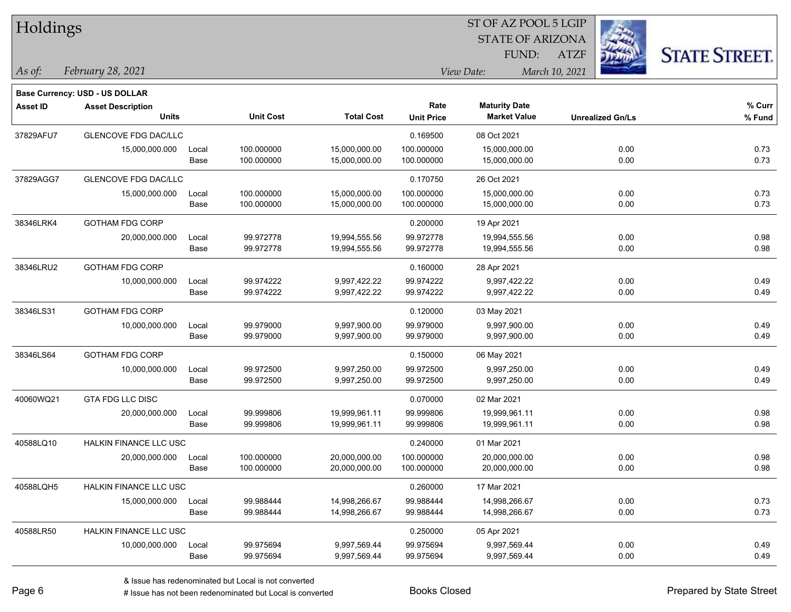| Holdings        |                                       |       |                  |                   | ST OF AZ POOL 5 LGIP |                         |                         |                      |  |  |
|-----------------|---------------------------------------|-------|------------------|-------------------|----------------------|-------------------------|-------------------------|----------------------|--|--|
|                 |                                       |       |                  |                   |                      | <b>STATE OF ARIZONA</b> |                         |                      |  |  |
|                 |                                       |       |                  |                   |                      | FUND:                   | <b>ATZF</b>             | <b>STATE STREET.</b> |  |  |
| As of:          | February 28, 2021                     |       |                  |                   |                      | View Date:              | March 10, 2021          |                      |  |  |
|                 | <b>Base Currency: USD - US DOLLAR</b> |       |                  |                   |                      |                         |                         |                      |  |  |
| <b>Asset ID</b> | <b>Asset Description</b>              |       |                  |                   | Rate                 | <b>Maturity Date</b>    |                         | % Curr               |  |  |
|                 | <b>Units</b>                          |       | <b>Unit Cost</b> | <b>Total Cost</b> | <b>Unit Price</b>    | <b>Market Value</b>     | <b>Unrealized Gn/Ls</b> | % Fund               |  |  |
| 37829AFU7       | <b>GLENCOVE FDG DAC/LLC</b>           |       |                  |                   | 0.169500             | 08 Oct 2021             |                         |                      |  |  |
|                 | 15,000,000.000                        | Local | 100.000000       | 15,000,000.00     | 100.000000           | 15,000,000.00           | 0.00                    | 0.73                 |  |  |
|                 |                                       | Base  | 100.000000       | 15,000,000.00     | 100.000000           | 15,000,000.00           | 0.00                    | 0.73                 |  |  |
| 37829AGG7       | GLENCOVE FDG DAC/LLC                  |       |                  |                   | 0.170750             | 26 Oct 2021             |                         |                      |  |  |
|                 | 15,000,000.000                        | Local | 100.000000       | 15,000,000.00     | 100.000000           | 15,000,000.00           | 0.00                    | 0.73                 |  |  |
|                 |                                       | Base  | 100.000000       | 15,000,000.00     | 100.000000           | 15,000,000.00           | 0.00                    | 0.73                 |  |  |
| 38346LRK4       | <b>GOTHAM FDG CORP</b>                |       |                  |                   | 0.200000             | 19 Apr 2021             |                         |                      |  |  |
|                 | 20,000,000.000                        | Local | 99.972778        | 19,994,555.56     | 99.972778            | 19,994,555.56           | 0.00                    | 0.98                 |  |  |
|                 |                                       | Base  | 99.972778        | 19,994,555.56     | 99.972778            | 19,994,555.56           | 0.00                    | 0.98                 |  |  |
| 38346LRU2       | <b>GOTHAM FDG CORP</b>                |       |                  |                   | 0.160000             | 28 Apr 2021             |                         |                      |  |  |
|                 | 10,000,000.000                        | Local | 99.974222        | 9,997,422.22      | 99.974222            | 9,997,422.22            | 0.00                    | 0.49                 |  |  |
|                 |                                       | Base  | 99.974222        | 9,997,422.22      | 99.974222            | 9,997,422.22            | 0.00                    | 0.49                 |  |  |
| 38346LS31       | <b>GOTHAM FDG CORP</b>                |       |                  |                   | 0.120000             | 03 May 2021             |                         |                      |  |  |
|                 | 10,000,000.000                        | Local | 99.979000        | 9,997,900.00      | 99.979000            | 9,997,900.00            | 0.00                    | 0.49                 |  |  |
|                 |                                       | Base  | 99.979000        | 9,997,900.00      | 99.979000            | 9,997,900.00            | 0.00                    | 0.49                 |  |  |
| 38346LS64       | <b>GOTHAM FDG CORP</b>                |       |                  |                   | 0.150000             | 06 May 2021             |                         |                      |  |  |
|                 | 10,000,000.000                        | Local | 99.972500        | 9,997,250.00      | 99.972500            | 9,997,250.00            | 0.00                    | 0.49                 |  |  |
|                 |                                       | Base  | 99.972500        | 9,997,250.00      | 99.972500            | 9,997,250.00            | 0.00                    | 0.49                 |  |  |
| 40060WQ21       | GTA FDG LLC DISC                      |       |                  |                   | 0.070000             | 02 Mar 2021             |                         |                      |  |  |
|                 | 20,000,000.000                        | Local | 99.999806        | 19,999,961.11     | 99.999806            | 19,999,961.11           | 0.00                    | 0.98                 |  |  |
|                 |                                       | Base  | 99.999806        | 19,999,961.11     | 99.999806            | 19,999,961.11           | 0.00                    | 0.98                 |  |  |
| 40588LQ10       | HALKIN FINANCE LLC USC                |       |                  |                   | 0.240000             | 01 Mar 2021             |                         |                      |  |  |
|                 | 20,000,000.000                        | Local | 100.000000       | 20,000,000.00     | 100.000000           | 20,000,000.00           | 0.00                    | 0.98                 |  |  |
|                 |                                       | Base  | 100.000000       | 20,000,000.00     | 100.000000           | 20,000,000.00           | 0.00                    | 0.98                 |  |  |
| 40588LQH5       | HALKIN FINANCE LLC USC                |       |                  |                   | 0.260000             | 17 Mar 2021             |                         |                      |  |  |
|                 | 15,000,000.000                        | Local | 99.988444        | 14,998,266.67     | 99.988444            | 14,998,266.67           | 0.00                    | 0.73                 |  |  |
|                 |                                       | Base  | 99.988444        | 14,998,266.67     | 99.988444            | 14,998,266.67           | 0.00                    | 0.73                 |  |  |
| 40588LR50       | HALKIN FINANCE LLC USC                |       |                  |                   | 0.250000             | 05 Apr 2021             |                         |                      |  |  |
|                 | 10,000,000.000                        | Local | 99.975694        | 9,997,569.44      | 99.975694            | 9,997,569.44            | 0.00                    | 0.49                 |  |  |
|                 |                                       | Base  | 99.975694        | 9,997,569.44      | 99.975694            | 9,997,569.44            | 0.00                    | 0.49                 |  |  |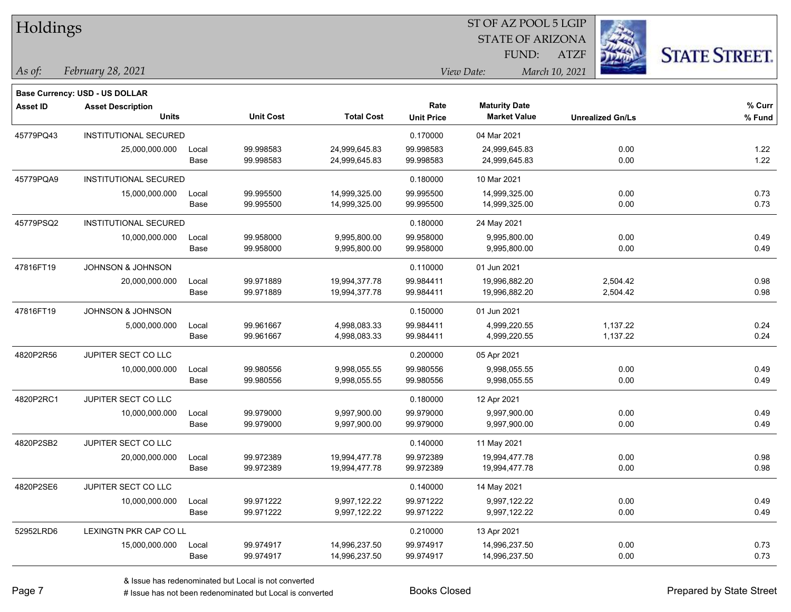| Holdings        |                                       |       |                  |                   |                   | ST OF AZ POOL 5 LGIP    |                         |                      |
|-----------------|---------------------------------------|-------|------------------|-------------------|-------------------|-------------------------|-------------------------|----------------------|
|                 |                                       |       |                  |                   |                   | <b>STATE OF ARIZONA</b> |                         |                      |
|                 |                                       |       |                  |                   |                   | FUND:                   | <b>ATZF</b>             | <b>STATE STREET.</b> |
| As of:          | February 28, 2021                     |       |                  |                   |                   | View Date:              | March 10, 2021          |                      |
|                 | <b>Base Currency: USD - US DOLLAR</b> |       |                  |                   |                   |                         |                         |                      |
| <b>Asset ID</b> | <b>Asset Description</b>              |       |                  |                   | Rate              | <b>Maturity Date</b>    |                         | % Curr               |
|                 | <b>Units</b>                          |       | <b>Unit Cost</b> | <b>Total Cost</b> | <b>Unit Price</b> | <b>Market Value</b>     | <b>Unrealized Gn/Ls</b> | % Fund               |
| 45779PQ43       | INSTITUTIONAL SECURED                 |       |                  |                   | 0.170000          | 04 Mar 2021             |                         |                      |
|                 | 25,000,000.000                        | Local | 99.998583        | 24,999,645.83     | 99.998583         | 24,999,645.83           | 0.00                    | 1.22                 |
|                 |                                       | Base  | 99.998583        | 24,999,645.83     | 99.998583         | 24,999,645.83           | 0.00                    | 1.22                 |
| 45779PQA9       | INSTITUTIONAL SECURED                 |       |                  |                   | 0.180000          | 10 Mar 2021             |                         |                      |
|                 | 15,000,000.000                        | Local | 99.995500        | 14,999,325.00     | 99.995500         | 14,999,325.00           | 0.00                    | 0.73                 |
|                 |                                       | Base  | 99.995500        | 14,999,325.00     | 99.995500         | 14,999,325.00           | 0.00                    | 0.73                 |
| 45779PSQ2       | <b>INSTITUTIONAL SECURED</b>          |       |                  |                   | 0.180000          | 24 May 2021             |                         |                      |
|                 | 10,000,000.000                        | Local | 99.958000        | 9,995,800.00      | 99.958000         | 9,995,800.00            | 0.00                    | 0.49                 |
|                 |                                       | Base  | 99.958000        | 9,995,800.00      | 99.958000         | 9,995,800.00            | 0.00                    | 0.49                 |
| 47816FT19       | <b>JOHNSON &amp; JOHNSON</b>          |       |                  |                   | 0.110000          | 01 Jun 2021             |                         |                      |
|                 | 20,000,000.000                        | Local | 99.971889        | 19,994,377.78     | 99.984411         | 19,996,882.20           | 2,504.42                | 0.98                 |
|                 |                                       | Base  | 99.971889        | 19,994,377.78     | 99.984411         | 19,996,882.20           | 2,504.42                | 0.98                 |
| 47816FT19       | <b>JOHNSON &amp; JOHNSON</b>          |       |                  |                   | 0.150000          | 01 Jun 2021             |                         |                      |
|                 | 5,000,000.000                         | Local | 99.961667        | 4,998,083.33      | 99.984411         | 4,999,220.55            | 1,137.22                | 0.24                 |
|                 |                                       | Base  | 99.961667        | 4,998,083.33      | 99.984411         | 4,999,220.55            | 1,137.22                | 0.24                 |
| 4820P2R56       | JUPITER SECT CO LLC                   |       |                  |                   | 0.200000          | 05 Apr 2021             |                         |                      |
|                 | 10,000,000.000                        | Local | 99.980556        | 9,998,055.55      | 99.980556         | 9,998,055.55            | 0.00                    | 0.49                 |
|                 |                                       | Base  | 99.980556        | 9,998,055.55      | 99.980556         | 9,998,055.55            | 0.00                    | 0.49                 |
| 4820P2RC1       | JUPITER SECT CO LLC                   |       |                  |                   | 0.180000          | 12 Apr 2021             |                         |                      |
|                 | 10,000,000.000                        | Local | 99.979000        | 9,997,900.00      | 99.979000         | 9,997,900.00            | 0.00                    | 0.49                 |
|                 |                                       | Base  | 99.979000        | 9,997,900.00      | 99.979000         | 9,997,900.00            | 0.00                    | 0.49                 |
| 4820P2SB2       | JUPITER SECT CO LLC                   |       |                  |                   | 0.140000          | 11 May 2021             |                         |                      |
|                 | 20,000,000.000                        | Local | 99.972389        | 19,994,477.78     | 99.972389         | 19,994,477.78           | 0.00                    | 0.98                 |
|                 |                                       | Base  | 99.972389        | 19,994,477.78     | 99.972389         | 19,994,477.78           | 0.00                    | 0.98                 |
| 4820P2SE6       | JUPITER SECT CO LLC                   |       |                  |                   | 0.140000          | 14 May 2021             |                         |                      |
|                 | 10,000,000.000                        | Local | 99.971222        | 9,997,122.22      | 99.971222         | 9,997,122.22            | 0.00                    | 0.49                 |
|                 |                                       | Base  | 99.971222        | 9,997,122.22      | 99.971222         | 9,997,122.22            | 0.00                    | 0.49                 |
| 52952LRD6       | LEXINGTN PKR CAP CO LL                |       |                  |                   | 0.210000          | 13 Apr 2021             |                         |                      |
|                 | 15,000,000.000                        | Local | 99.974917        | 14,996,237.50     | 99.974917         | 14,996,237.50           | 0.00                    | 0.73                 |
|                 |                                       | Base  | 99.974917        | 14,996,237.50     | 99.974917         | 14,996,237.50           | 0.00                    | 0.73                 |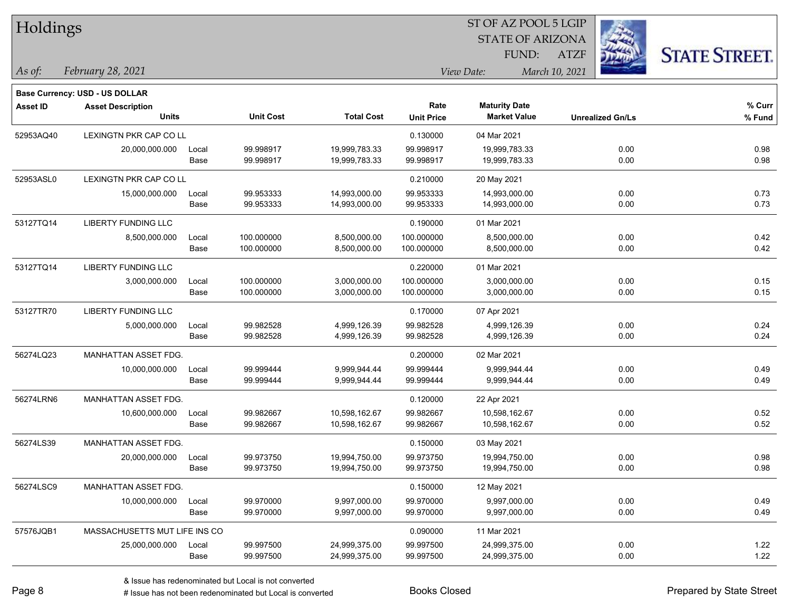| Holdings        |                                |       |                  |                   |                   |                         |                         |                      |
|-----------------|--------------------------------|-------|------------------|-------------------|-------------------|-------------------------|-------------------------|----------------------|
|                 |                                |       |                  |                   |                   | <b>STATE OF ARIZONA</b> |                         |                      |
|                 |                                |       |                  |                   |                   | FUND:                   | <b>ATZF</b>             | <b>STATE STREET.</b> |
| As of:          | February 28, 2021              |       |                  |                   |                   | View Date:              | March 10, 2021          |                      |
|                 | Base Currency: USD - US DOLLAR |       |                  |                   |                   |                         |                         |                      |
| <b>Asset ID</b> | <b>Asset Description</b>       |       |                  |                   | Rate              | <b>Maturity Date</b>    |                         | % Curr               |
|                 | <b>Units</b>                   |       | <b>Unit Cost</b> | <b>Total Cost</b> | <b>Unit Price</b> | <b>Market Value</b>     | <b>Unrealized Gn/Ls</b> | % Fund               |
| 52953AQ40       | LEXINGTN PKR CAP CO LL         |       |                  |                   | 0.130000          | 04 Mar 2021             |                         |                      |
|                 | 20,000,000.000                 | Local | 99.998917        | 19,999,783.33     | 99.998917         | 19,999,783.33           | 0.00                    | 0.98                 |
|                 |                                | Base  | 99.998917        | 19,999,783.33     | 99.998917         | 19,999,783.33           | 0.00                    | 0.98                 |
| 52953ASL0       | LEXINGTN PKR CAP CO LL         |       |                  |                   | 0.210000          | 20 May 2021             |                         |                      |
|                 | 15,000,000.000                 | Local | 99.953333        | 14,993,000.00     | 99.953333         | 14,993,000.00           | 0.00                    | 0.73                 |
|                 |                                | Base  | 99.953333        | 14,993,000.00     | 99.953333         | 14,993,000.00           | 0.00                    | 0.73                 |
| 53127TQ14       | <b>LIBERTY FUNDING LLC</b>     |       |                  |                   | 0.190000          | 01 Mar 2021             |                         |                      |
|                 | 8,500,000.000                  | Local | 100.000000       | 8,500,000.00      | 100.000000        | 8,500,000.00            | 0.00                    | 0.42                 |
|                 |                                | Base  | 100.000000       | 8,500,000.00      | 100.000000        | 8,500,000.00            | 0.00                    | 0.42                 |
| 53127TQ14       | <b>LIBERTY FUNDING LLC</b>     |       |                  |                   | 0.220000          | 01 Mar 2021             |                         |                      |
|                 | 3,000,000.000                  | Local | 100.000000       | 3,000,000.00      | 100.000000        | 3,000,000.00            | 0.00                    | 0.15                 |
|                 |                                | Base  | 100.000000       | 3,000,000.00      | 100.000000        | 3,000,000.00            | 0.00                    | 0.15                 |
| 53127TR70       | LIBERTY FUNDING LLC            |       |                  |                   | 0.170000          | 07 Apr 2021             |                         |                      |
|                 | 5,000,000.000                  | Local | 99.982528        | 4,999,126.39      | 99.982528         | 4,999,126.39            | 0.00                    | 0.24                 |
|                 |                                | Base  | 99.982528        | 4,999,126.39      | 99.982528         | 4,999,126.39            | 0.00                    | 0.24                 |
| 56274LQ23       | MANHATTAN ASSET FDG.           |       |                  |                   | 0.200000          | 02 Mar 2021             |                         |                      |
|                 | 10,000,000.000                 | Local | 99.999444        | 9,999,944.44      | 99.999444         | 9,999,944.44            | 0.00                    | 0.49                 |
|                 |                                | Base  | 99.999444        | 9,999,944.44      | 99.999444         | 9,999,944.44            | 0.00                    | 0.49                 |
| 56274LRN6       | MANHATTAN ASSET FDG.           |       |                  |                   | 0.120000          | 22 Apr 2021             |                         |                      |
|                 | 10,600,000.000                 | Local | 99.982667        | 10,598,162.67     | 99.982667         | 10,598,162.67           | 0.00                    | 0.52                 |
|                 |                                | Base  | 99.982667        | 10,598,162.67     | 99.982667         | 10,598,162.67           | 0.00                    | 0.52                 |
| 56274LS39       | MANHATTAN ASSET FDG.           |       |                  |                   | 0.150000          | 03 May 2021             |                         |                      |
|                 | 20,000,000.000                 | Local | 99.973750        | 19,994,750.00     | 99.973750         | 19,994,750.00           | 0.00                    | 0.98                 |
|                 |                                | Base  | 99.973750        | 19,994,750.00     | 99.973750         | 19,994,750.00           | 0.00                    | 0.98                 |
| 56274LSC9       | <b>MANHATTAN ASSET FDG.</b>    |       |                  |                   | 0.150000          | 12 May 2021             |                         |                      |
|                 | 10,000,000.000                 | Local | 99.970000        | 9,997,000.00      | 99.970000         | 9,997,000.00            | 0.00                    | 0.49                 |
|                 |                                | Base  | 99.970000        | 9,997,000.00      | 99.970000         | 9,997,000.00            | 0.00                    | 0.49                 |
| 57576JQB1       | MASSACHUSETTS MUT LIFE INS CO  |       |                  |                   | 0.090000          | 11 Mar 2021             |                         |                      |
|                 | 25,000,000.000                 | Local | 99.997500        | 24,999,375.00     | 99.997500         | 24,999,375.00           | 0.00                    | 1.22                 |
|                 |                                | Base  | 99.997500        | 24,999,375.00     | 99.997500         | 24,999,375.00           | 0.00                    | 1.22                 |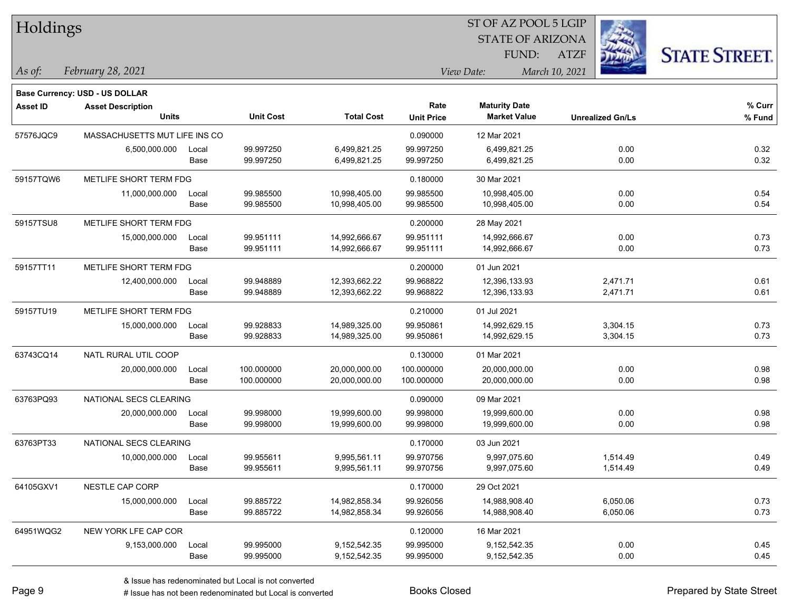| Holdings        |                                |       |                  |                   |                   | ST OF AZ POOL 5 LGIP    |                         |                      |
|-----------------|--------------------------------|-------|------------------|-------------------|-------------------|-------------------------|-------------------------|----------------------|
|                 |                                |       |                  |                   |                   | <b>STATE OF ARIZONA</b> |                         |                      |
|                 |                                |       |                  |                   |                   | FUND:                   | <b>ATZF</b>             | <b>STATE STREET.</b> |
| As of:          | February 28, 2021              |       |                  |                   |                   | View Date:              | March 10, 2021          |                      |
|                 | Base Currency: USD - US DOLLAR |       |                  |                   |                   |                         |                         |                      |
| <b>Asset ID</b> | <b>Asset Description</b>       |       |                  |                   | Rate              | <b>Maturity Date</b>    |                         | % Curr               |
|                 | <b>Units</b>                   |       | <b>Unit Cost</b> | <b>Total Cost</b> | <b>Unit Price</b> | <b>Market Value</b>     | <b>Unrealized Gn/Ls</b> | % Fund               |
| 57576JQC9       | MASSACHUSETTS MUT LIFE INS CO  |       |                  |                   | 0.090000          | 12 Mar 2021             |                         |                      |
|                 | 6,500,000.000                  | Local | 99.997250        | 6,499,821.25      | 99.997250         | 6,499,821.25            | 0.00                    | 0.32                 |
|                 |                                | Base  | 99.997250        | 6,499,821.25      | 99.997250         | 6,499,821.25            | 0.00                    | 0.32                 |
| 59157TQW6       | METLIFE SHORT TERM FDG         |       |                  |                   | 0.180000          | 30 Mar 2021             |                         |                      |
|                 | 11,000,000.000                 | Local | 99.985500        | 10,998,405.00     | 99.985500         | 10,998,405.00           | 0.00                    | 0.54                 |
|                 |                                | Base  | 99.985500        | 10,998,405.00     | 99.985500         | 10,998,405.00           | 0.00                    | 0.54                 |
| 59157TSU8       | METLIFE SHORT TERM FDG         |       |                  |                   | 0.200000          | 28 May 2021             |                         |                      |
|                 | 15,000,000.000                 | Local | 99.951111        | 14,992,666.67     | 99.951111         | 14,992,666.67           | 0.00                    | 0.73                 |
|                 |                                | Base  | 99.951111        | 14,992,666.67     | 99.951111         | 14,992,666.67           | 0.00                    | 0.73                 |
| 59157TT11       | METLIFE SHORT TERM FDG         |       |                  |                   | 0.200000          | 01 Jun 2021             |                         |                      |
|                 | 12,400,000.000                 | Local | 99.948889        | 12,393,662.22     | 99.968822         | 12,396,133.93           | 2,471.71                | 0.61                 |
|                 |                                | Base  | 99.948889        | 12,393,662.22     | 99.968822         | 12,396,133.93           | 2,471.71                | 0.61                 |
| 59157TU19       | METLIFE SHORT TERM FDG         |       |                  |                   | 0.210000          | 01 Jul 2021             |                         |                      |
|                 | 15,000,000.000                 | Local | 99.928833        | 14,989,325.00     | 99.950861         | 14,992,629.15           | 3,304.15                | 0.73                 |
|                 |                                | Base  | 99.928833        | 14,989,325.00     | 99.950861         | 14,992,629.15           | 3,304.15                | 0.73                 |
| 63743CQ14       | NATL RURAL UTIL COOP           |       |                  |                   | 0.130000          | 01 Mar 2021             |                         |                      |
|                 | 20,000,000.000                 | Local | 100.000000       | 20,000,000.00     | 100.000000        | 20,000,000.00           | 0.00                    | 0.98                 |
|                 |                                | Base  | 100.000000       | 20,000,000.00     | 100.000000        | 20,000,000.00           | 0.00                    | 0.98                 |
| 63763PQ93       | NATIONAL SECS CLEARING         |       |                  |                   | 0.090000          | 09 Mar 2021             |                         |                      |
|                 | 20,000,000.000                 | Local | 99.998000        | 19,999,600.00     | 99.998000         | 19,999,600.00           | 0.00                    | 0.98                 |
|                 |                                | Base  | 99.998000        | 19,999,600.00     | 99.998000         | 19,999,600.00           | 0.00                    | 0.98                 |
| 63763PT33       | NATIONAL SECS CLEARING         |       |                  |                   | 0.170000          | 03 Jun 2021             |                         |                      |
|                 | 10,000,000.000                 | Local | 99.955611        | 9,995,561.11      | 99.970756         | 9,997,075.60            | 1,514.49                | 0.49                 |
|                 |                                | Base  | 99.955611        | 9,995,561.11      | 99.970756         | 9,997,075.60            | 1,514.49                | 0.49                 |
| 64105GXV1       | NESTLE CAP CORP                |       |                  |                   | 0.170000          | 29 Oct 2021             |                         |                      |
|                 | 15,000,000.000                 | Local | 99.885722        | 14,982,858.34     | 99.926056         | 14,988,908.40           | 6,050.06                | 0.73                 |
|                 |                                | Base  | 99.885722        | 14,982,858.34     | 99.926056         | 14,988,908.40           | 6,050.06                | 0.73                 |
| 64951WQG2       | NEW YORK LFE CAP COR           |       |                  |                   | 0.120000          | 16 Mar 2021             |                         |                      |
|                 | 9,153,000.000                  | Local | 99.995000        | 9,152,542.35      | 99.995000         | 9,152,542.35            | 0.00                    | 0.45                 |
|                 |                                | Base  | 99.995000        | 9,152,542.35      | 99.995000         | 9,152,542.35            | 0.00                    | 0.45                 |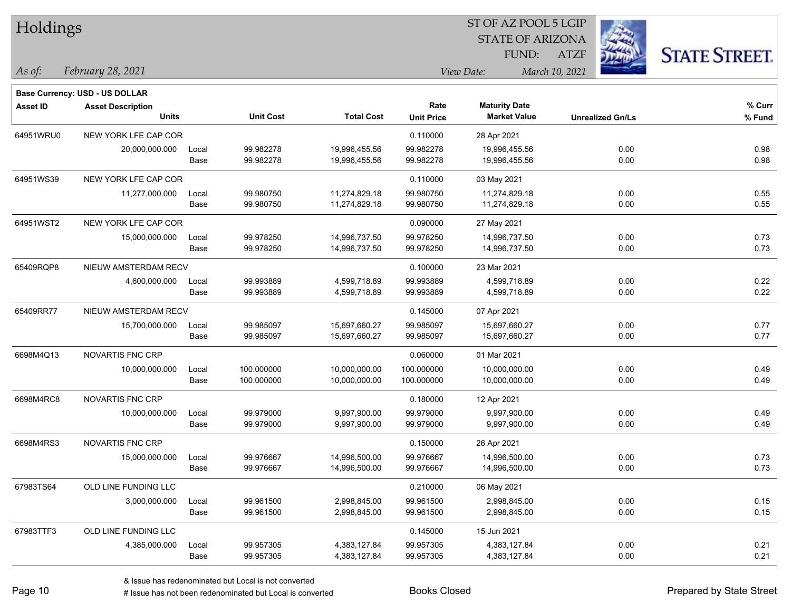| Holdings        |                                       |       |                  |                   |                   | ST OF AZ POOL 5 LGIP    |                |                         |                      |
|-----------------|---------------------------------------|-------|------------------|-------------------|-------------------|-------------------------|----------------|-------------------------|----------------------|
|                 |                                       |       |                  |                   |                   | <b>STATE OF ARIZONA</b> |                |                         |                      |
|                 |                                       |       |                  |                   |                   | FUND:                   | <b>ATZF</b>    |                         | <b>STATE STREET.</b> |
| As of:          | February 28, 2021                     |       |                  |                   |                   | View Date:              | March 10, 2021 |                         |                      |
|                 | <b>Base Currency: USD - US DOLLAR</b> |       |                  |                   |                   |                         |                |                         |                      |
| <b>Asset ID</b> | <b>Asset Description</b>              |       |                  |                   | Rate              | <b>Maturity Date</b>    |                |                         | % Curr               |
|                 | <b>Units</b>                          |       | <b>Unit Cost</b> | <b>Total Cost</b> | <b>Unit Price</b> | <b>Market Value</b>     |                | <b>Unrealized Gn/Ls</b> | % Fund               |
| 64951WRU0       | NEW YORK LFE CAP COR                  |       |                  |                   | 0.110000          | 28 Apr 2021             |                |                         |                      |
|                 | 20,000,000.000                        | Local | 99.982278        | 19,996,455.56     | 99.982278         | 19,996,455.56           |                | 0.00                    | 0.98                 |
|                 |                                       | Base  | 99.982278        | 19,996,455.56     | 99.982278         | 19,996,455.56           |                | 0.00                    | 0.98                 |
| 64951WS39       | NEW YORK LFE CAP COR                  |       |                  |                   | 0.110000          | 03 May 2021             |                |                         |                      |
|                 | 11,277,000.000                        | Local | 99.980750        | 11,274,829.18     | 99.980750         | 11,274,829.18           |                | 0.00                    | 0.55                 |
|                 |                                       | Base  | 99.980750        | 11,274,829.18     | 99.980750         | 11,274,829.18           |                | 0.00                    | 0.55                 |
| 64951WST2       | NEW YORK LFE CAP COR                  |       |                  |                   | 0.090000          | 27 May 2021             |                |                         |                      |
|                 | 15,000,000.000                        | Local | 99.978250        | 14,996,737.50     | 99.978250         | 14,996,737.50           |                | 0.00                    | 0.73                 |
|                 |                                       | Base  | 99.978250        | 14,996,737.50     | 99.978250         | 14,996,737.50           |                | 0.00                    | 0.73                 |
| 65409RQP8       | NIEUW AMSTERDAM RECV                  |       |                  |                   | 0.100000          | 23 Mar 2021             |                |                         |                      |
|                 | 4,600,000.000                         | Local | 99.993889        | 4,599,718.89      | 99.993889         | 4,599,718.89            |                | 0.00                    | 0.22                 |
|                 |                                       | Base  | 99.993889        | 4,599,718.89      | 99.993889         | 4,599,718.89            |                | 0.00                    | 0.22                 |
| 65409RR77       | NIEUW AMSTERDAM RECV                  |       |                  |                   | 0.145000          | 07 Apr 2021             |                |                         |                      |
|                 | 15,700,000.000                        | Local | 99.985097        | 15,697,660.27     | 99.985097         | 15,697,660.27           |                | 0.00                    | 0.77                 |
|                 |                                       | Base  | 99.985097        | 15,697,660.27     | 99.985097         | 15,697,660.27           |                | 0.00                    | 0.77                 |
| 6698M4Q13       | <b>NOVARTIS FNC CRP</b>               |       |                  |                   | 0.060000          | 01 Mar 2021             |                |                         |                      |
|                 | 10,000,000.000                        | Local | 100.000000       | 10,000,000.00     | 100.000000        | 10,000,000.00           |                | 0.00                    | 0.49                 |
|                 |                                       | Base  | 100.000000       | 10,000,000.00     | 100.000000        | 10,000,000.00           |                | 0.00                    | 0.49                 |
| 6698M4RC8       | NOVARTIS FNC CRP                      |       |                  |                   | 0.180000          | 12 Apr 2021             |                |                         |                      |
|                 | 10,000,000.000                        | Local | 99.979000        | 9,997,900.00      | 99.979000         | 9,997,900.00            |                | 0.00                    | 0.49                 |
|                 |                                       | Base  | 99.979000        | 9,997,900.00      | 99.979000         | 9,997,900.00            |                | 0.00                    | 0.49                 |
| 6698M4RS3       | NOVARTIS FNC CRP                      |       |                  |                   | 0.150000          | 26 Apr 2021             |                |                         |                      |
|                 | 15,000,000.000                        | Local | 99.976667        | 14,996,500.00     | 99.976667         | 14,996,500.00           |                | 0.00                    | 0.73                 |
|                 |                                       | Base  | 99.976667        | 14,996,500.00     | 99.976667         | 14,996,500.00           |                | 0.00                    | 0.73                 |
| 67983TS64       | OLD LINE FUNDING LLC                  |       |                  |                   | 0.210000          | 06 May 2021             |                |                         |                      |
|                 | 3,000,000.000                         | Local | 99.961500        | 2,998,845.00      | 99.961500         | 2,998,845.00            |                | 0.00                    | 0.15                 |
|                 |                                       | Base  | 99.961500        | 2,998,845.00      | 99.961500         | 2,998,845.00            |                | 0.00                    | 0.15                 |
| 67983TTF3       | OLD LINE FUNDING LLC                  |       |                  |                   | 0.145000          | 15 Jun 2021             |                |                         |                      |
|                 | 4,385,000.000                         | Local | 99.957305        | 4,383,127.84      | 99.957305         | 4,383,127.84            |                | 0.00                    | 0.21                 |
|                 |                                       | Base  | 99.957305        | 4,383,127.84      | 99.957305         | 4,383,127.84            |                | 0.00                    | 0.21                 |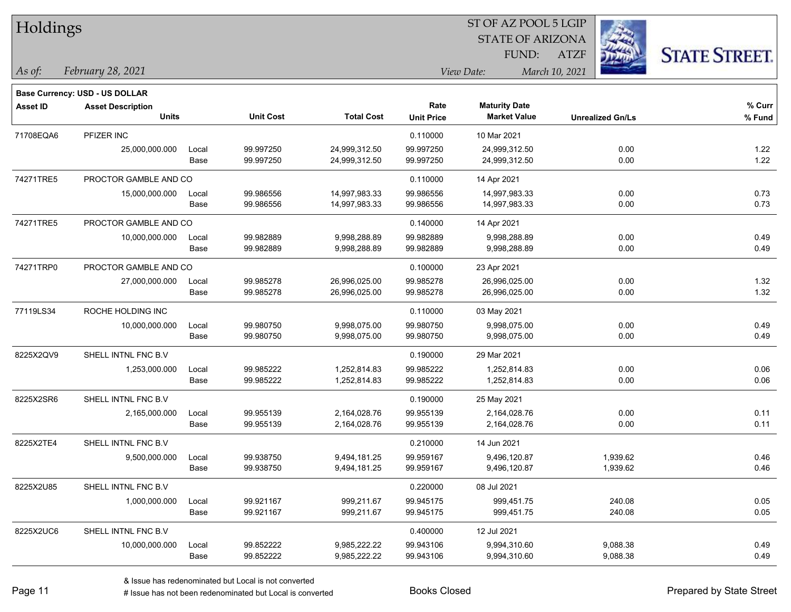| Holdings        |                                       |       |                  |                   | ST OF AZ POOL 5 LGIP |                         |                         |                      |  |  |
|-----------------|---------------------------------------|-------|------------------|-------------------|----------------------|-------------------------|-------------------------|----------------------|--|--|
|                 |                                       |       |                  |                   |                      | <b>STATE OF ARIZONA</b> |                         |                      |  |  |
|                 |                                       |       |                  |                   |                      | FUND:                   | <b>ATZF</b>             | <b>STATE STREET.</b> |  |  |
| As of:          | February 28, 2021                     |       |                  |                   |                      | View Date:              | March 10, 2021          |                      |  |  |
|                 | <b>Base Currency: USD - US DOLLAR</b> |       |                  |                   |                      |                         |                         |                      |  |  |
| <b>Asset ID</b> | <b>Asset Description</b>              |       |                  |                   | Rate                 | <b>Maturity Date</b>    |                         | % Curr               |  |  |
|                 | <b>Units</b>                          |       | <b>Unit Cost</b> | <b>Total Cost</b> | <b>Unit Price</b>    | <b>Market Value</b>     | <b>Unrealized Gn/Ls</b> | % Fund               |  |  |
| 71708EQA6       | PFIZER INC                            |       |                  |                   | 0.110000             | 10 Mar 2021             |                         |                      |  |  |
|                 | 25,000,000.000                        | Local | 99.997250        | 24,999,312.50     | 99.997250            | 24,999,312.50           | 0.00                    | 1.22                 |  |  |
|                 |                                       | Base  | 99.997250        | 24,999,312.50     | 99.997250            | 24,999,312.50           | 0.00                    | 1.22                 |  |  |
| 74271TRE5       | PROCTOR GAMBLE AND CO                 |       |                  |                   | 0.110000             | 14 Apr 2021             |                         |                      |  |  |
|                 | 15,000,000.000                        | Local | 99.986556        | 14,997,983.33     | 99.986556            | 14,997,983.33           | 0.00                    | 0.73                 |  |  |
|                 |                                       | Base  | 99.986556        | 14,997,983.33     | 99.986556            | 14,997,983.33           | 0.00                    | 0.73                 |  |  |
| 74271TRE5       | PROCTOR GAMBLE AND CO                 |       |                  |                   | 0.140000             | 14 Apr 2021             |                         |                      |  |  |
|                 | 10,000,000.000                        | Local | 99.982889        | 9,998,288.89      | 99.982889            | 9,998,288.89            | 0.00                    | 0.49                 |  |  |
|                 |                                       | Base  | 99.982889        | 9,998,288.89      | 99.982889            | 9,998,288.89            | 0.00                    | 0.49                 |  |  |
| 74271TRP0       | PROCTOR GAMBLE AND CO                 |       |                  |                   | 0.100000             | 23 Apr 2021             |                         |                      |  |  |
|                 | 27,000,000.000                        | Local | 99.985278        | 26,996,025.00     | 99.985278            | 26,996,025.00           | 0.00                    | 1.32                 |  |  |
|                 |                                       | Base  | 99.985278        | 26,996,025.00     | 99.985278            | 26,996,025.00           | 0.00                    | 1.32                 |  |  |
| 77119LS34       | ROCHE HOLDING INC                     |       |                  |                   | 0.110000             | 03 May 2021             |                         |                      |  |  |
|                 | 10,000,000.000                        | Local | 99.980750        | 9,998,075.00      | 99.980750            | 9,998,075.00            | 0.00                    | 0.49                 |  |  |
|                 |                                       | Base  | 99.980750        | 9,998,075.00      | 99.980750            | 9,998,075.00            | 0.00                    | 0.49                 |  |  |
| 8225X2QV9       | SHELL INTNL FNC B.V                   |       |                  |                   | 0.190000             | 29 Mar 2021             |                         |                      |  |  |
|                 | 1,253,000.000                         | Local | 99.985222        | 1,252,814.83      | 99.985222            | 1,252,814.83            | 0.00                    | 0.06                 |  |  |
|                 |                                       | Base  | 99.985222        | 1,252,814.83      | 99.985222            | 1,252,814.83            | 0.00                    | 0.06                 |  |  |
| 8225X2SR6       | SHELL INTNL FNC B.V                   |       |                  |                   | 0.190000             | 25 May 2021             |                         |                      |  |  |
|                 | 2,165,000.000                         | Local | 99.955139        | 2,164,028.76      | 99.955139            | 2,164,028.76            | 0.00                    | 0.11                 |  |  |
|                 |                                       | Base  | 99.955139        | 2,164,028.76      | 99.955139            | 2,164,028.76            | 0.00                    | 0.11                 |  |  |
| 8225X2TE4       | SHELL INTNL FNC B.V                   |       |                  |                   | 0.210000             | 14 Jun 2021             |                         |                      |  |  |
|                 | 9,500,000.000                         | Local | 99.938750        | 9,494,181.25      | 99.959167            | 9,496,120.87            | 1,939.62                | 0.46                 |  |  |
|                 |                                       | Base  | 99.938750        | 9,494,181.25      | 99.959167            | 9,496,120.87            | 1,939.62                | 0.46                 |  |  |
| 8225X2U85       | SHELL INTNL FNC B.V                   |       |                  |                   | 0.220000             | 08 Jul 2021             |                         |                      |  |  |
|                 | 1,000,000.000                         | Local | 99.921167        | 999,211.67        | 99.945175            | 999,451.75              | 240.08                  | 0.05                 |  |  |
|                 |                                       | Base  | 99.921167        | 999,211.67        | 99.945175            | 999,451.75              | 240.08                  | 0.05                 |  |  |
| 8225X2UC6       | SHELL INTNL FNC B.V.                  |       |                  |                   | 0.400000             | 12 Jul 2021             |                         |                      |  |  |
|                 | 10,000,000.000                        | Local | 99.852222        | 9,985,222.22      | 99.943106            | 9,994,310.60            | 9,088.38                | 0.49                 |  |  |
|                 |                                       | Base  | 99.852222        | 9,985,222.22      | 99.943106            | 9,994,310.60            | 9,088.38                | 0.49                 |  |  |

٦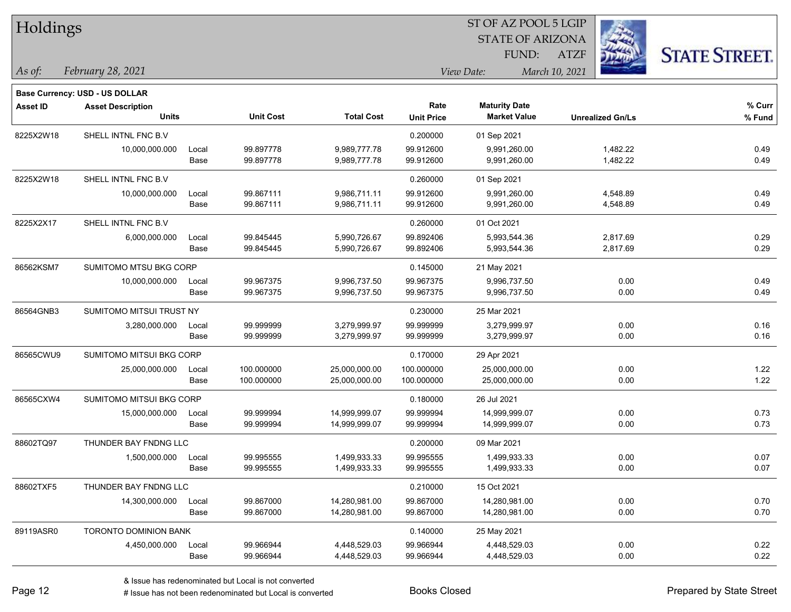| Holdings        |                                                                   |       |                  |                   |                   | ST OF AZ POOL 5 LGIP    |                         |                      |
|-----------------|-------------------------------------------------------------------|-------|------------------|-------------------|-------------------|-------------------------|-------------------------|----------------------|
|                 |                                                                   |       |                  |                   |                   | <b>STATE OF ARIZONA</b> |                         |                      |
|                 |                                                                   |       |                  |                   |                   | FUND:                   | <b>ATZF</b>             | <b>STATE STREET.</b> |
| As of:          | February 28, 2021                                                 |       |                  |                   |                   | View Date:              | March 10, 2021          |                      |
|                 |                                                                   |       |                  |                   |                   |                         |                         |                      |
| <b>Asset ID</b> | <b>Base Currency: USD - US DOLLAR</b><br><b>Asset Description</b> |       |                  |                   | Rate              | <b>Maturity Date</b>    |                         | % Curr               |
|                 | <b>Units</b>                                                      |       | <b>Unit Cost</b> | <b>Total Cost</b> | <b>Unit Price</b> | <b>Market Value</b>     | <b>Unrealized Gn/Ls</b> | % Fund               |
| 8225X2W18       | SHELL INTNL FNC B.V                                               |       |                  |                   | 0.200000          | 01 Sep 2021             |                         |                      |
|                 | 10,000,000.000                                                    | Local | 99.897778        | 9,989,777.78      | 99.912600         | 9,991,260.00            | 1,482.22                | 0.49                 |
|                 |                                                                   | Base  | 99.897778        | 9,989,777.78      | 99.912600         | 9,991,260.00            | 1,482.22                | 0.49                 |
| 8225X2W18       | SHELL INTNL FNC B.V                                               |       |                  |                   | 0.260000          | 01 Sep 2021             |                         |                      |
|                 | 10,000,000.000                                                    | Local | 99.867111        | 9,986,711.11      | 99.912600         | 9,991,260.00            | 4,548.89                | 0.49                 |
|                 |                                                                   | Base  | 99.867111        | 9,986,711.11      | 99.912600         | 9,991,260.00            | 4,548.89                | 0.49                 |
| 8225X2X17       | SHELL INTNL FNC B.V                                               |       |                  |                   | 0.260000          | 01 Oct 2021             |                         |                      |
|                 | 6,000,000.000                                                     | Local | 99.845445        | 5,990,726.67      | 99.892406         | 5,993,544.36            | 2,817.69                | 0.29                 |
|                 |                                                                   | Base  | 99.845445        | 5,990,726.67      | 99.892406         | 5,993,544.36            | 2,817.69                | 0.29                 |
| 86562KSM7       | SUMITOMO MTSU BKG CORP                                            |       |                  |                   | 0.145000          | 21 May 2021             |                         |                      |
|                 | 10,000,000.000                                                    | Local | 99.967375        | 9,996,737.50      | 99.967375         | 9,996,737.50            | 0.00                    | 0.49                 |
|                 |                                                                   | Base  | 99.967375        | 9,996,737.50      | 99.967375         | 9,996,737.50            | 0.00                    | 0.49                 |
| 86564GNB3       | SUMITOMO MITSUI TRUST NY                                          |       |                  |                   | 0.230000          | 25 Mar 2021             |                         |                      |
|                 | 3,280,000.000                                                     | Local | 99.999999        | 3,279,999.97      | 99.999999         | 3,279,999.97            | 0.00                    | 0.16                 |
|                 |                                                                   | Base  | 99.999999        | 3,279,999.97      | 99.999999         | 3,279,999.97            | 0.00                    | 0.16                 |
| 86565CWU9       | SUMITOMO MITSUI BKG CORP                                          |       |                  |                   | 0.170000          | 29 Apr 2021             |                         |                      |
|                 | 25,000,000.000                                                    | Local | 100.000000       | 25,000,000.00     | 100.000000        | 25,000,000.00           | 0.00                    | 1.22                 |
|                 |                                                                   | Base  | 100.000000       | 25,000,000.00     | 100.000000        | 25,000,000.00           | 0.00                    | 1.22                 |
| 86565CXW4       | SUMITOMO MITSUI BKG CORP                                          |       |                  |                   | 0.180000          | 26 Jul 2021             |                         |                      |
|                 | 15,000,000.000                                                    | Local | 99.999994        | 14,999,999.07     | 99.999994         | 14,999,999.07           | 0.00                    | 0.73                 |
|                 |                                                                   | Base  | 99.999994        | 14,999,999.07     | 99.999994         | 14,999,999.07           | 0.00                    | 0.73                 |
| 88602TQ97       | THUNDER BAY FNDNG LLC                                             |       |                  |                   | 0.200000          | 09 Mar 2021             |                         |                      |
|                 | 1,500,000.000                                                     | Local | 99.995555        | 1,499,933.33      | 99.995555         | 1,499,933.33            | 0.00                    | 0.07                 |
|                 |                                                                   | Base  | 99.995555        | 1,499,933.33      | 99.995555         | 1,499,933.33            | 0.00                    | 0.07                 |
| 88602TXF5       | THUNDER BAY FNDNG LLC                                             |       |                  |                   | 0.210000          | 15 Oct 2021             |                         |                      |
|                 | 14,300,000.000                                                    | Local | 99.867000        | 14,280,981.00     | 99.867000         | 14,280,981.00           | 0.00                    | 0.70                 |
|                 |                                                                   | Base  | 99.867000        | 14,280,981.00     | 99.867000         | 14,280,981.00           | 0.00                    | 0.70                 |
| 89119ASR0       | TORONTO DOMINION BANK                                             |       |                  |                   | 0.140000          | 25 May 2021             |                         |                      |
|                 | 4,450,000.000                                                     | Local | 99.966944        | 4,448,529.03      | 99.966944         | 4,448,529.03            | 0.00                    | 0.22                 |
|                 |                                                                   | Base  | 99.966944        | 4,448,529.03      | 99.966944         | 4,448,529.03            | 0.00                    | 0.22                 |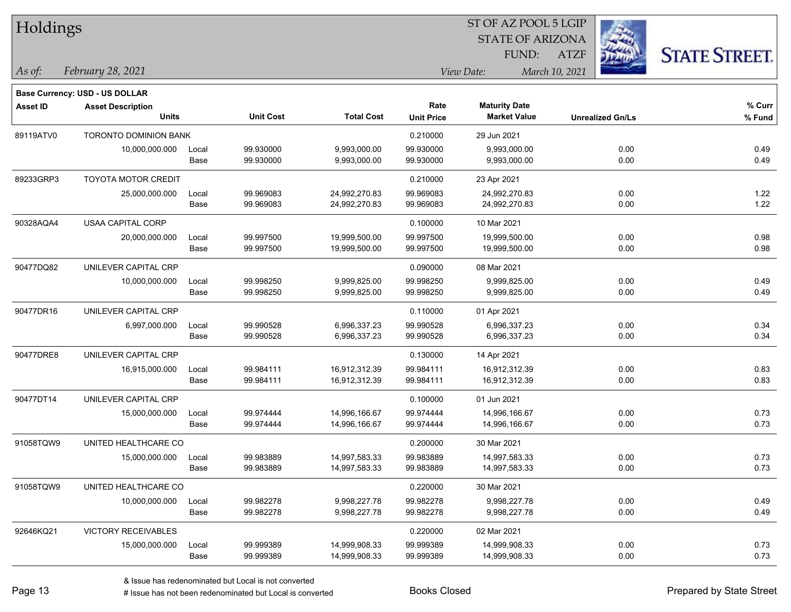| Holdings        |                                       |       |                  |                   | ST OF AZ POOL 5 LGIP |                         |                         |                      |  |  |
|-----------------|---------------------------------------|-------|------------------|-------------------|----------------------|-------------------------|-------------------------|----------------------|--|--|
|                 |                                       |       |                  |                   |                      | <b>STATE OF ARIZONA</b> |                         |                      |  |  |
|                 |                                       |       |                  |                   |                      | FUND:                   | <b>ATZF</b>             | <b>STATE STREET.</b> |  |  |
| As of:          | February 28, 2021                     |       |                  |                   |                      | View Date:              | March 10, 2021          |                      |  |  |
|                 | <b>Base Currency: USD - US DOLLAR</b> |       |                  |                   |                      |                         |                         |                      |  |  |
| <b>Asset ID</b> | <b>Asset Description</b>              |       |                  |                   | Rate                 | <b>Maturity Date</b>    |                         | % Curr               |  |  |
|                 | <b>Units</b>                          |       | <b>Unit Cost</b> | <b>Total Cost</b> | <b>Unit Price</b>    | <b>Market Value</b>     | <b>Unrealized Gn/Ls</b> | % Fund               |  |  |
| 89119ATV0       | TORONTO DOMINION BANK                 |       |                  |                   | 0.210000             | 29 Jun 2021             |                         |                      |  |  |
|                 | 10,000,000.000                        | Local | 99.930000        | 9,993,000.00      | 99.930000            | 9,993,000.00            | 0.00                    | 0.49                 |  |  |
|                 |                                       | Base  | 99.930000        | 9,993,000.00      | 99.930000            | 9,993,000.00            | 0.00                    | 0.49                 |  |  |
| 89233GRP3       | <b>TOYOTA MOTOR CREDIT</b>            |       |                  |                   | 0.210000             | 23 Apr 2021             |                         |                      |  |  |
|                 | 25,000,000.000                        | Local | 99.969083        | 24,992,270.83     | 99.969083            | 24,992,270.83           | 0.00                    | 1.22                 |  |  |
|                 |                                       | Base  | 99.969083        | 24,992,270.83     | 99.969083            | 24,992,270.83           | 0.00                    | 1.22                 |  |  |
| 90328AQA4       | <b>USAA CAPITAL CORP</b>              |       |                  |                   | 0.100000             | 10 Mar 2021             |                         |                      |  |  |
|                 | 20,000,000.000                        | Local | 99.997500        | 19,999,500.00     | 99.997500            | 19,999,500.00           | 0.00                    | 0.98                 |  |  |
|                 |                                       | Base  | 99.997500        | 19,999,500.00     | 99.997500            | 19,999,500.00           | 0.00                    | 0.98                 |  |  |
| 90477DQ82       | UNILEVER CAPITAL CRP                  |       |                  |                   | 0.090000             | 08 Mar 2021             |                         |                      |  |  |
|                 | 10,000,000.000                        | Local | 99.998250        | 9,999,825.00      | 99.998250            | 9,999,825.00            | 0.00                    | 0.49                 |  |  |
|                 |                                       | Base  | 99.998250        | 9,999,825.00      | 99.998250            | 9,999,825.00            | 0.00                    | 0.49                 |  |  |
| 90477DR16       | UNILEVER CAPITAL CRP                  |       |                  |                   | 0.110000             | 01 Apr 2021             |                         |                      |  |  |
|                 | 6,997,000.000                         | Local | 99.990528        | 6,996,337.23      | 99.990528            | 6,996,337.23            | 0.00                    | 0.34                 |  |  |
|                 |                                       | Base  | 99.990528        | 6,996,337.23      | 99.990528            | 6,996,337.23            | 0.00                    | 0.34                 |  |  |
| 90477DRE8       | UNILEVER CAPITAL CRP                  |       |                  |                   | 0.130000             | 14 Apr 2021             |                         |                      |  |  |
|                 | 16,915,000.000                        | Local | 99.984111        | 16,912,312.39     | 99.984111            | 16,912,312.39           | 0.00                    | 0.83                 |  |  |
|                 |                                       | Base  | 99.984111        | 16,912,312.39     | 99.984111            | 16,912,312.39           | 0.00                    | 0.83                 |  |  |
| 90477DT14       | UNILEVER CAPITAL CRP                  |       |                  |                   | 0.100000             | 01 Jun 2021             |                         |                      |  |  |
|                 | 15,000,000.000                        | Local | 99.974444        | 14,996,166.67     | 99.974444            | 14,996,166.67           | 0.00                    | 0.73                 |  |  |
|                 |                                       | Base  | 99.974444        | 14,996,166.67     | 99.974444            | 14,996,166.67           | 0.00                    | 0.73                 |  |  |
| 91058TQW9       | UNITED HEALTHCARE CO                  |       |                  |                   | 0.200000             | 30 Mar 2021             |                         |                      |  |  |
|                 | 15,000,000.000                        | Local | 99.983889        | 14,997,583.33     | 99.983889            | 14,997,583.33           | 0.00                    | 0.73                 |  |  |
|                 |                                       | Base  | 99.983889        | 14,997,583.33     | 99.983889            | 14,997,583.33           | 0.00                    | 0.73                 |  |  |
| 91058TQW9       | UNITED HEALTHCARE CO                  |       |                  |                   | 0.220000             | 30 Mar 2021             |                         |                      |  |  |
|                 | 10,000,000.000                        | Local | 99.982278        | 9,998,227.78      | 99.982278            | 9,998,227.78            | 0.00                    | 0.49                 |  |  |
|                 |                                       | Base  | 99.982278        | 9,998,227.78      | 99.982278            | 9,998,227.78            | 0.00                    | 0.49                 |  |  |
| 92646KQ21       | VICTORY RECEIVABLES                   |       |                  |                   | 0.220000             | 02 Mar 2021             |                         |                      |  |  |
|                 | 15,000,000.000                        | Local | 99.999389        | 14,999,908.33     | 99.999389            | 14,999,908.33           | 0.00                    | 0.73                 |  |  |
|                 |                                       | Base  | 99.999389        | 14,999,908.33     | 99.999389            | 14,999,908.33           | 0.00                    | 0.73                 |  |  |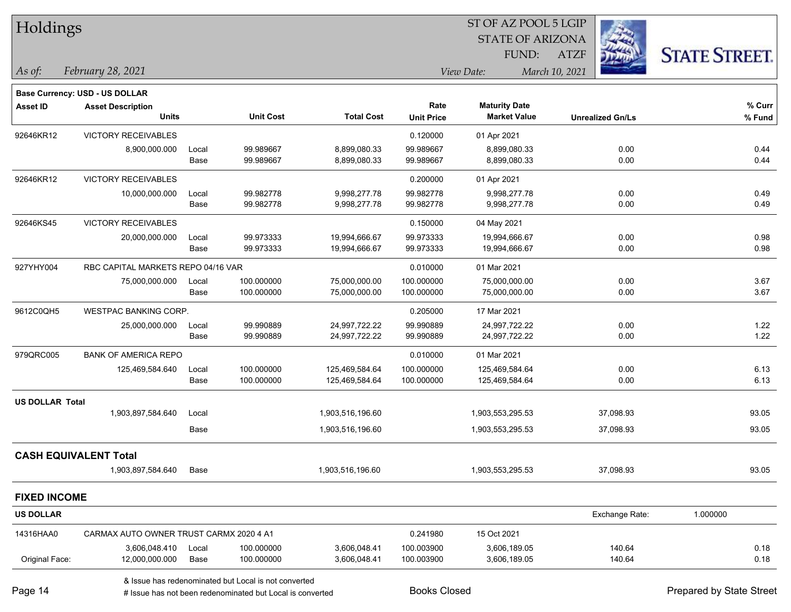| Holdings               |                                         |       |                                                           |                   |                     | ST OF AZ POOL 5 LGIP    |                         |                          |
|------------------------|-----------------------------------------|-------|-----------------------------------------------------------|-------------------|---------------------|-------------------------|-------------------------|--------------------------|
|                        |                                         |       |                                                           |                   |                     | <b>STATE OF ARIZONA</b> |                         |                          |
|                        |                                         |       |                                                           |                   |                     | FUND:                   | <b>ATZF</b>             | <b>STATE STREET.</b>     |
| As of:                 | February 28, 2021                       |       |                                                           |                   |                     | View Date:              | March 10, 2021          |                          |
|                        | Base Currency: USD - US DOLLAR          |       |                                                           |                   |                     |                         |                         |                          |
| <b>Asset ID</b>        | <b>Asset Description</b>                |       |                                                           |                   | Rate                | <b>Maturity Date</b>    |                         | % Curr                   |
|                        | <b>Units</b>                            |       | <b>Unit Cost</b>                                          | <b>Total Cost</b> | <b>Unit Price</b>   | <b>Market Value</b>     | <b>Unrealized Gn/Ls</b> | % Fund                   |
| 92646KR12              | <b>VICTORY RECEIVABLES</b>              |       |                                                           |                   | 0.120000            | 01 Apr 2021             |                         |                          |
|                        | 8,900,000.000                           | Local | 99.989667                                                 | 8,899,080.33      | 99.989667           | 8,899,080.33            | 0.00                    | 0.44                     |
|                        |                                         | Base  | 99.989667                                                 | 8,899,080.33      | 99.989667           | 8,899,080.33            | 0.00                    | 0.44                     |
| 92646KR12              | <b>VICTORY RECEIVABLES</b>              |       |                                                           |                   | 0.200000            | 01 Apr 2021             |                         |                          |
|                        | 10,000,000.000                          | Local | 99.982778                                                 | 9,998,277.78      | 99.982778           | 9,998,277.78            | 0.00                    | 0.49                     |
|                        |                                         | Base  | 99.982778                                                 | 9,998,277.78      | 99.982778           | 9,998,277.78            | 0.00                    | 0.49                     |
| 92646KS45              | <b>VICTORY RECEIVABLES</b>              |       |                                                           |                   | 0.150000            | 04 May 2021             |                         |                          |
|                        | 20,000,000.000                          | Local | 99.973333                                                 | 19,994,666.67     | 99.973333           | 19,994,666.67           | 0.00                    | 0.98                     |
|                        |                                         | Base  | 99.973333                                                 | 19,994,666.67     | 99.973333           | 19,994,666.67           | 0.00                    | 0.98                     |
| 927YHY004              | RBC CAPITAL MARKETS REPO 04/16 VAR      |       |                                                           |                   | 0.010000            | 01 Mar 2021             |                         |                          |
|                        | 75,000,000.000                          | Local | 100.000000                                                | 75,000,000.00     | 100.000000          | 75,000,000.00           | 0.00                    | 3.67                     |
|                        |                                         | Base  | 100.000000                                                | 75,000,000.00     | 100.000000          | 75,000,000.00           | 0.00                    | 3.67                     |
| 9612C0QH5              | <b>WESTPAC BANKING CORP.</b>            |       |                                                           |                   | 0.205000            | 17 Mar 2021             |                         |                          |
|                        | 25,000,000.000                          | Local | 99.990889                                                 | 24,997,722.22     | 99.990889           | 24,997,722.22           | 0.00                    | 1.22                     |
|                        |                                         | Base  | 99.990889                                                 | 24,997,722.22     | 99.990889           | 24,997,722.22           | 0.00                    | 1.22                     |
| 979QRC005              | <b>BANK OF AMERICA REPO</b>             |       |                                                           |                   | 0.010000            | 01 Mar 2021             |                         |                          |
|                        | 125,469,584.640                         | Local | 100.000000                                                | 125,469,584.64    | 100.000000          | 125,469,584.64          | 0.00                    | 6.13                     |
|                        |                                         | Base  | 100.000000                                                | 125,469,584.64    | 100.000000          | 125,469,584.64          | 0.00                    | 6.13                     |
| <b>US DOLLAR Total</b> |                                         |       |                                                           |                   |                     |                         |                         |                          |
|                        | 1,903,897,584.640                       | Local |                                                           | 1,903,516,196.60  |                     | 1,903,553,295.53        | 37,098.93               | 93.05                    |
|                        |                                         | Base  |                                                           | 1,903,516,196.60  |                     | 1,903,553,295.53        | 37,098.93               | 93.05                    |
|                        | <b>CASH EQUIVALENT Total</b>            |       |                                                           |                   |                     |                         |                         |                          |
|                        | 1,903,897,584.640                       | Base  |                                                           | 1,903,516,196.60  |                     | 1,903,553,295.53        | 37,098.93               | 93.05                    |
| <b>FIXED INCOME</b>    |                                         |       |                                                           |                   |                     |                         |                         |                          |
| <b>US DOLLAR</b>       |                                         |       |                                                           |                   |                     |                         | Exchange Rate:          | 1.000000                 |
| 14316HAA0              | CARMAX AUTO OWNER TRUST CARMX 2020 4 A1 |       |                                                           |                   | 0.241980            | 15 Oct 2021             |                         |                          |
|                        | 3,606,048.410                           | Local | 100.000000                                                | 3,606,048.41      | 100.003900          | 3,606,189.05            | 140.64                  | 0.18                     |
| Original Face:         | 12,000,000.000                          | Base  | 100.000000                                                | 3,606,048.41      | 100.003900          | 3,606,189.05            | 140.64                  | 0.18                     |
|                        |                                         |       | & Issue has redenominated but Local is not converted      |                   |                     |                         |                         |                          |
| Page 14                |                                         |       | # Issue has not been redenominated but Local is converted |                   | <b>Books Closed</b> |                         |                         | Prepared by State Street |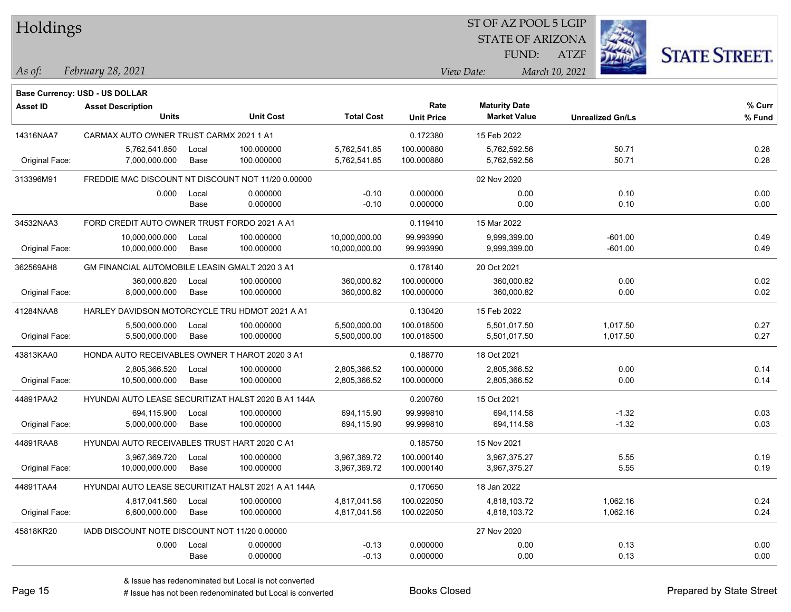| Holdings        |                                                    |               |                                                     |                              |                          | SI OF AZ POOL 5 LGIP         |                |                         |                      |
|-----------------|----------------------------------------------------|---------------|-----------------------------------------------------|------------------------------|--------------------------|------------------------------|----------------|-------------------------|----------------------|
|                 |                                                    |               |                                                     |                              |                          | <b>STATE OF ARIZONA</b>      |                |                         |                      |
|                 |                                                    |               |                                                     |                              |                          |                              |                |                         |                      |
|                 |                                                    |               |                                                     |                              |                          | FUND:                        | <b>ATZF</b>    |                         | <b>STATE STREET.</b> |
| As of:          | February 28, 2021                                  |               |                                                     |                              |                          | View Date:                   | March 10, 2021 |                         |                      |
|                 |                                                    |               |                                                     |                              |                          |                              |                |                         |                      |
|                 | Base Currency: USD - US DOLLAR                     |               |                                                     |                              |                          |                              |                |                         |                      |
| <b>Asset ID</b> | <b>Asset Description</b>                           |               |                                                     |                              | Rate                     | <b>Maturity Date</b>         |                |                         | % Curr               |
|                 | <b>Units</b>                                       |               | <b>Unit Cost</b>                                    | <b>Total Cost</b>            | <b>Unit Price</b>        | <b>Market Value</b>          |                | <b>Unrealized Gn/Ls</b> | % Fund               |
| 14316NAA7       | CARMAX AUTO OWNER TRUST CARMX 2021 1 A1            |               |                                                     |                              | 0.172380                 | 15 Feb 2022                  |                |                         |                      |
|                 | 5,762,541.850                                      | Local         | 100.000000                                          | 5,762,541.85                 | 100.000880               | 5,762,592.56                 |                | 50.71                   | 0.28                 |
| Original Face:  | 7,000,000.000                                      | Base          | 100.000000                                          | 5,762,541.85                 | 100.000880               | 5,762,592.56                 |                | 50.71                   | 0.28                 |
| 313396M91       | FREDDIE MAC DISCOUNT NT DISCOUNT NOT 11/20 0.00000 |               |                                                     |                              |                          | 02 Nov 2020                  |                |                         |                      |
|                 | 0.000                                              | Local         | 0.000000                                            | $-0.10$                      | 0.000000                 | 0.00                         |                | 0.10                    | 0.00                 |
|                 |                                                    | Base          | 0.000000                                            | $-0.10$                      | 0.000000                 | 0.00                         |                | 0.10                    | 0.00                 |
| 34532NAA3       | FORD CREDIT AUTO OWNER TRUST FORDO 2021 A A1       |               |                                                     |                              | 0.119410                 | 15 Mar 2022                  |                |                         |                      |
|                 | 10,000,000.000                                     | Local         | 100.000000                                          | 10,000,000.00                | 99.993990                | 9,999,399.00                 |                | -601.00                 | 0.49                 |
| Original Face:  | 10,000,000.000                                     | Base          | 100.000000                                          | 10,000,000.00                | 99.993990                | 9,999,399.00                 |                | $-601.00$               | 0.49                 |
| 362569AH8       | GM FINANCIAL AUTOMOBILE LEASIN GMALT 2020 3 A1     |               |                                                     |                              | 0.178140                 | 20 Oct 2021                  |                |                         |                      |
|                 | 360,000.820                                        | Local         | 100.000000                                          | 360,000.82                   | 100.000000               | 360,000.82                   |                | 0.00                    | 0.02                 |
| Original Face:  | 8,000,000.000                                      | Base          | 100.000000                                          | 360,000.82                   | 100.000000               | 360,000.82                   |                | 0.00                    | 0.02                 |
| 41284NAA8       | HARLEY DAVIDSON MOTORCYCLE TRU HDMOT 2021 A A1     |               |                                                     |                              | 0.130420                 | 15 Feb 2022                  |                |                         |                      |
|                 |                                                    |               |                                                     |                              |                          |                              |                |                         |                      |
| Original Face:  | 5,500,000.000<br>5,500,000.000                     | Local<br>Base | 100.000000<br>100.000000                            | 5,500,000.00<br>5,500,000.00 | 100.018500<br>100.018500 | 5,501,017.50<br>5,501,017.50 |                | 1,017.50<br>1,017.50    | 0.27<br>0.27         |
|                 |                                                    |               |                                                     |                              |                          |                              |                |                         |                      |
| 43813KAA0       | HONDA AUTO RECEIVABLES OWNER T HAROT 2020 3 A1     |               |                                                     |                              | 0.188770                 | 18 Oct 2021                  |                |                         |                      |
|                 | 2,805,366.520                                      | Local         | 100.000000                                          | 2,805,366.52                 | 100.000000               | 2,805,366.52                 |                | 0.00                    | 0.14                 |
| Original Face:  | 10,500,000.000                                     | Base          | 100.000000                                          | 2,805,366.52                 | 100.000000               | 2,805,366.52                 |                | 0.00                    | 0.14                 |
| 44891PAA2       |                                                    |               | HYUNDAI AUTO LEASE SECURITIZAT HALST 2020 B A1 144A |                              | 0.200760                 | 15 Oct 2021                  |                |                         |                      |
|                 | 694,115.900                                        | Local         | 100.000000                                          | 694,115.90                   | 99.999810                | 694,114.58                   |                | $-1.32$                 | 0.03                 |
| Original Face:  | 5,000,000.000                                      | Base          | 100.000000                                          | 694,115.90                   | 99.999810                | 694,114.58                   |                | $-1.32$                 | 0.03                 |
| 44891RAA8       | HYUNDAI AUTO RECEIVABLES TRUST HART 2020 C A1      |               |                                                     |                              | 0.185750                 | 15 Nov 2021                  |                |                         |                      |
|                 | 3,967,369.720                                      | Local         | 100.000000                                          | 3,967,369.72                 | 100.000140               | 3,967,375.27                 |                | 5.55                    | 0.19                 |
| Original Face:  | 10,000,000.000                                     | Base          | 100.000000                                          | 3,967,369.72                 | 100.000140               | 3,967,375.27                 |                | 5.55                    | 0.19                 |
| 44891TAA4       |                                                    |               | HYUNDAI AUTO LEASE SECURITIZAT HALST 2021 A A1 144A |                              | 0.170650                 | 18 Jan 2022                  |                |                         |                      |
|                 | 4,817,041.560                                      | Local         | 100.000000                                          | 4,817,041.56                 | 100.022050               | 4,818,103.72                 |                | 1,062.16                | 0.24                 |
| Original Face:  | 6,600,000.000                                      | Base          | 100.000000                                          | 4,817,041.56                 | 100.022050               | 4,818,103.72                 |                | 1,062.16                | 0.24                 |
| 45818KR20       | IADB DISCOUNT NOTE DISCOUNT NOT 11/20 0.00000      |               |                                                     |                              |                          | 27 Nov 2020                  |                |                         |                      |
|                 | 0.000                                              | Local         | 0.000000                                            | $-0.13$                      | 0.000000                 | 0.00                         |                | 0.13                    | 0.00                 |
|                 |                                                    | Base          | 0.000000                                            | $-0.13$                      | 0.000000                 | 0.00                         |                | 0.13                    | 0.00                 |
|                 |                                                    |               |                                                     |                              |                          |                              |                |                         |                      |

 $\overline{S}$   $\overline{S}$   $\overline{S}$   $\overline{S}$   $\overline{S}$   $\overline{S}$   $\overline{S}$   $\overline{S}$   $\overline{S}$   $\overline{S}$   $\overline{S}$   $\overline{S}$   $\overline{S}$   $\overline{S}$   $\overline{S}$   $\overline{S}$   $\overline{S}$   $\overline{S}$   $\overline{S}$   $\overline{S}$   $\overline{S}$   $\overline{S}$   $\overline{S}$   $\overline{S}$   $\overline{$ 

٦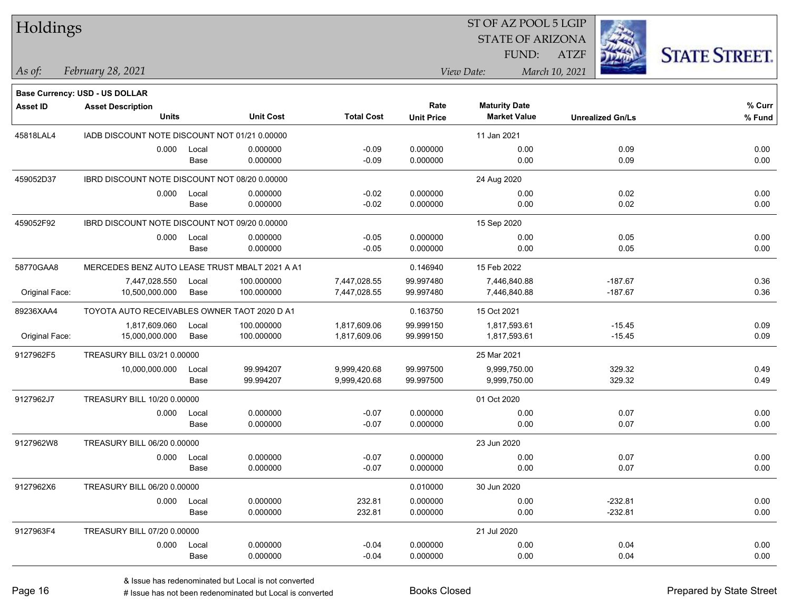| Holdings |  |
|----------|--|
|----------|--|

## STATE OF ARIZONA ATZF ST OF AZ POOL 5 LGIP FUND:



**Base Currency: USD - US DOLLAR**

*February 28, 2021 As of: View Date: March 10, 2021*

| Asset ID       | <b>Asset Description</b>                       |       |                  |                   | Rate              | <b>Maturity Date</b> |                         | % Curr |
|----------------|------------------------------------------------|-------|------------------|-------------------|-------------------|----------------------|-------------------------|--------|
|                | <b>Units</b>                                   |       | <b>Unit Cost</b> | <b>Total Cost</b> | <b>Unit Price</b> | <b>Market Value</b>  | <b>Unrealized Gn/Ls</b> | % Fund |
| 45818LAL4      | IADB DISCOUNT NOTE DISCOUNT NOT 01/21 0.00000  |       |                  |                   |                   | 11 Jan 2021          |                         |        |
|                | 0.000                                          | Local | 0.000000         | $-0.09$           | 0.000000          | 0.00                 | 0.09                    | 0.00   |
|                |                                                | Base  | 0.000000         | $-0.09$           | 0.000000          | 0.00                 | 0.09                    | 0.00   |
| 459052D37      | IBRD DISCOUNT NOTE DISCOUNT NOT 08/20 0.00000  |       |                  |                   |                   | 24 Aug 2020          |                         |        |
|                | 0.000                                          | Local | 0.000000         | $-0.02$           | 0.000000          | 0.00                 | 0.02                    | 0.00   |
|                |                                                | Base  | 0.000000         | $-0.02$           | 0.000000          | 0.00                 | 0.02                    | 0.00   |
| 459052F92      | IBRD DISCOUNT NOTE DISCOUNT NOT 09/20 0.00000  |       |                  |                   |                   | 15 Sep 2020          |                         |        |
|                | 0.000                                          | Local | 0.000000         | $-0.05$           | 0.000000          | 0.00                 | 0.05                    | 0.00   |
|                |                                                | Base  | 0.000000         | $-0.05$           | 0.000000          | 0.00                 | 0.05                    | 0.00   |
| 58770GAA8      | MERCEDES BENZ AUTO LEASE TRUST MBALT 2021 A A1 |       |                  |                   | 0.146940          | 15 Feb 2022          |                         |        |
|                | 7,447,028.550                                  | Local | 100.000000       | 7,447,028.55      | 99.997480         | 7,446,840.88         | $-187.67$               | 0.36   |
| Original Face: | 10,500,000.000                                 | Base  | 100.000000       | 7,447,028.55      | 99.997480         | 7,446,840.88         | $-187.67$               | 0.36   |
| 89236XAA4      | TOYOTA AUTO RECEIVABLES OWNER TAOT 2020 D A1   |       |                  |                   | 0.163750          | 15 Oct 2021          |                         |        |
|                | 1,817,609.060                                  | Local | 100.000000       | 1,817,609.06      | 99.999150         | 1,817,593.61         | $-15.45$                | 0.09   |
| Original Face: | 15,000,000.000                                 | Base  | 100.000000       | 1,817,609.06      | 99.999150         | 1,817,593.61         | $-15.45$                | 0.09   |
| 9127962F5      | TREASURY BILL 03/21 0.00000                    |       |                  |                   |                   | 25 Mar 2021          |                         |        |
|                | 10,000,000.000                                 | Local | 99.994207        | 9,999,420.68      | 99.997500         | 9,999,750.00         | 329.32                  | 0.49   |
|                |                                                | Base  | 99.994207        | 9,999,420.68      | 99.997500         | 9,999,750.00         | 329.32                  | 0.49   |
| 9127962J7      | TREASURY BILL 10/20 0.00000                    |       |                  |                   |                   | 01 Oct 2020          |                         |        |
|                | 0.000                                          | Local | 0.000000         | $-0.07$           | 0.000000          | 0.00                 | 0.07                    | 0.00   |
|                |                                                | Base  | 0.000000         | $-0.07$           | 0.000000          | 0.00                 | 0.07                    | 0.00   |
| 9127962W8      | TREASURY BILL 06/20 0.00000                    |       |                  |                   |                   | 23 Jun 2020          |                         |        |
|                | 0.000                                          | Local | 0.000000         | $-0.07$           | 0.000000          | 0.00                 | 0.07                    | 0.00   |
|                |                                                | Base  | 0.000000         | $-0.07$           | 0.000000          | 0.00                 | 0.07                    | 0.00   |
| 9127962X6      | TREASURY BILL 06/20 0.00000                    |       |                  |                   | 0.010000          | 30 Jun 2020          |                         |        |
|                | 0.000                                          | Local | 0.000000         | 232.81            | 0.000000          | 0.00                 | $-232.81$               | 0.00   |
|                |                                                | Base  | 0.000000         | 232.81            | 0.000000          | 0.00                 | $-232.81$               | 0.00   |
| 9127963F4      | TREASURY BILL 07/20 0.00000                    |       |                  |                   |                   | 21 Jul 2020          |                         |        |
|                | 0.000                                          | Local | 0.000000         | $-0.04$           | 0.000000          | 0.00                 | 0.04                    | 0.00   |
|                |                                                | Base  | 0.000000         | $-0.04$           | 0.000000          | 0.00                 | 0.04                    | 0.00   |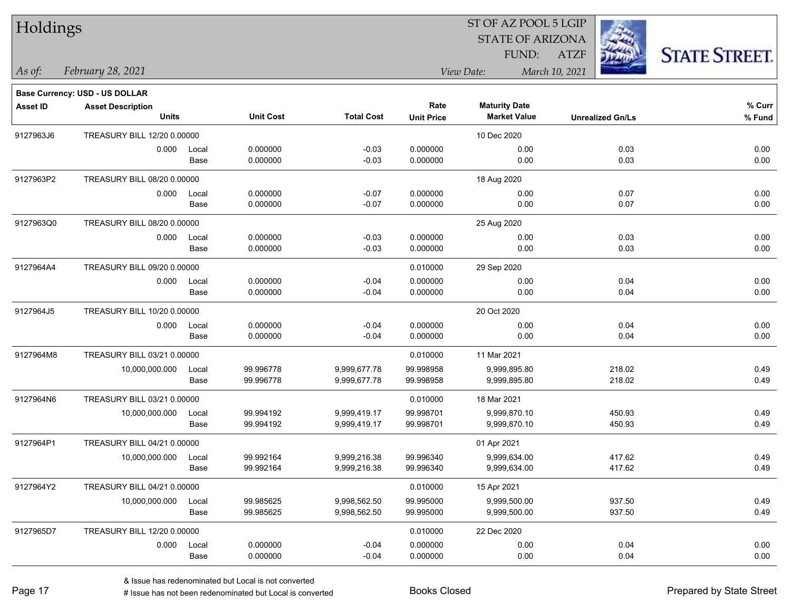| Holdings        |                                |       |                  |                   |                   | 51 OF AZ POOL 5 LGIP    |                |                         |                      |
|-----------------|--------------------------------|-------|------------------|-------------------|-------------------|-------------------------|----------------|-------------------------|----------------------|
|                 |                                |       |                  |                   |                   | <b>STATE OF ARIZONA</b> |                | in.                     |                      |
|                 |                                |       |                  |                   |                   | FUND:                   | <b>ATZF</b>    |                         | <b>STATE STREET.</b> |
| As of:          | February 28, 2021              |       |                  |                   |                   | View Date:              | March 10, 2021 |                         |                      |
|                 | Base Currency: USD - US DOLLAR |       |                  |                   |                   |                         |                |                         |                      |
| <b>Asset ID</b> | <b>Asset Description</b>       |       |                  |                   | Rate              | <b>Maturity Date</b>    |                |                         | % Curr               |
|                 | <b>Units</b>                   |       | <b>Unit Cost</b> | <b>Total Cost</b> | <b>Unit Price</b> | <b>Market Value</b>     |                | <b>Unrealized Gn/Ls</b> | % Fund               |
| 9127963J6       | TREASURY BILL 12/20 0.00000    |       |                  |                   |                   | 10 Dec 2020             |                |                         |                      |
|                 | 0.000                          | Local | 0.000000         | $-0.03$           | 0.000000          | 0.00                    |                | 0.03                    | 0.00                 |
|                 |                                | Base  | 0.000000         | $-0.03$           | 0.000000          | 0.00                    |                | 0.03                    | 0.00                 |
| 9127963P2       | TREASURY BILL 08/20 0.00000    |       |                  |                   |                   | 18 Aug 2020             |                |                         |                      |
|                 | 0.000                          | Local | 0.000000         | $-0.07$           | 0.000000          | 0.00                    |                | 0.07                    | 0.00                 |
|                 |                                | Base  | 0.000000         | $-0.07$           | 0.000000          | 0.00                    |                | 0.07                    | 0.00                 |
| 9127963Q0       | TREASURY BILL 08/20 0.00000    |       |                  |                   |                   | 25 Aug 2020             |                |                         |                      |
|                 | 0.000                          | Local | 0.000000         | $-0.03$           | 0.000000          | 0.00                    |                | 0.03                    | 0.00                 |
|                 |                                | Base  | 0.000000         | $-0.03$           | 0.000000          | 0.00                    |                | 0.03                    | 0.00                 |
| 9127964A4       | TREASURY BILL 09/20 0.00000    |       |                  |                   | 0.010000          | 29 Sep 2020             |                |                         |                      |
|                 | 0.000                          | Local | 0.000000         | $-0.04$           | 0.000000          | 0.00                    |                | 0.04                    | 0.00                 |
|                 |                                | Base  | 0.000000         | $-0.04$           | 0.000000          | 0.00                    |                | 0.04                    | 0.00                 |
| 9127964J5       | TREASURY BILL 10/20 0.00000    |       |                  |                   |                   | 20 Oct 2020             |                |                         |                      |
|                 | 0.000                          | Local | 0.000000         | $-0.04$           | 0.000000          | 0.00                    |                | 0.04                    | 0.00                 |
|                 |                                | Base  | 0.000000         | $-0.04$           | 0.000000          | 0.00                    |                | 0.04                    | 0.00                 |
| 9127964M8       | TREASURY BILL 03/21 0.00000    |       |                  |                   | 0.010000          | 11 Mar 2021             |                |                         |                      |
|                 | 10,000,000.000                 | Local | 99.996778        | 9,999,677.78      | 99.998958         | 9,999,895.80            |                | 218.02                  | 0.49                 |
|                 |                                | Base  | 99.996778        | 9,999,677.78      | 99.998958         | 9,999,895.80            |                | 218.02                  | 0.49                 |
| 9127964N6       | TREASURY BILL 03/21 0.00000    |       |                  |                   | 0.010000          | 18 Mar 2021             |                |                         |                      |
|                 | 10,000,000.000                 | Local | 99.994192        | 9,999,419.17      | 99.998701         | 9,999,870.10            |                | 450.93                  | 0.49                 |
|                 |                                | Base  | 99.994192        | 9,999,419.17      | 99.998701         | 9,999,870.10            |                | 450.93                  | 0.49                 |
| 9127964P1       | TREASURY BILL 04/21 0.00000    |       |                  |                   |                   | 01 Apr 2021             |                |                         |                      |
|                 | 10,000,000.000                 | Local | 99.992164        | 9,999,216.38      | 99.996340         | 9,999,634.00            |                | 417.62                  | 0.49                 |
|                 |                                | Base  | 99.992164        | 9,999,216.38      | 99.996340         | 9,999,634.00            |                | 417.62                  | 0.49                 |
| 9127964Y2       | TREASURY BILL 04/21 0.00000    |       |                  |                   | 0.010000          | 15 Apr 2021             |                |                         |                      |
|                 | 10,000,000.000                 | Local | 99.985625        | 9,998,562.50      | 99.995000         | 9,999,500.00            |                | 937.50                  | 0.49                 |
|                 |                                | Base  | 99.985625        | 9,998,562.50      | 99.995000         | 9,999,500.00            |                | 937.50                  | 0.49                 |
| 9127965D7       | TREASURY BILL 12/20 0.00000    |       |                  |                   | 0.010000          | 22 Dec 2020             |                |                         |                      |
|                 | 0.000                          | Local | 0.000000         | $-0.04$           | 0.000000          | 0.00                    |                | 0.04                    | 0.00                 |
|                 |                                | Base  | 0.000000         | $-0.04$           | 0.000000          | 0.00                    |                | 0.04                    | 0.00                 |

 $ST$  OF AZ POOL 5 LGIP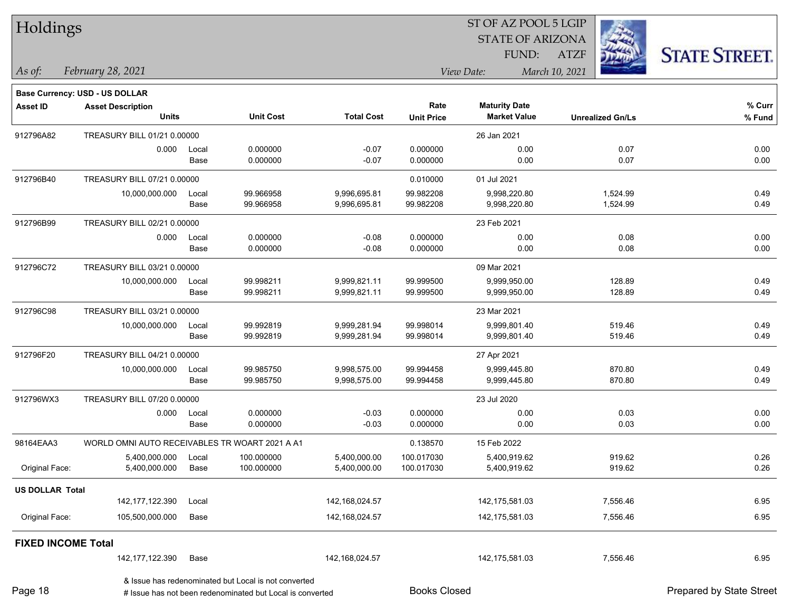| Holdings                  |                                                |       |                                                                                                                   |                   |                     | 51 OF AZ POOL 5 LGIP<br><b>STATE OF ARIZONA</b> |                | in.                     |                          |
|---------------------------|------------------------------------------------|-------|-------------------------------------------------------------------------------------------------------------------|-------------------|---------------------|-------------------------------------------------|----------------|-------------------------|--------------------------|
|                           |                                                |       |                                                                                                                   |                   |                     | FUND:                                           | <b>ATZF</b>    |                         | <b>STATE STREET.</b>     |
| As of:                    | February 28, 2021                              |       |                                                                                                                   |                   |                     | View Date:                                      | March 10, 2021 |                         |                          |
|                           | <b>Base Currency: USD - US DOLLAR</b>          |       |                                                                                                                   |                   |                     |                                                 |                |                         |                          |
| Asset ID                  | <b>Asset Description</b>                       |       |                                                                                                                   |                   | Rate                | <b>Maturity Date</b>                            |                |                         | % Curr                   |
|                           | <b>Units</b>                                   |       | <b>Unit Cost</b>                                                                                                  | <b>Total Cost</b> | <b>Unit Price</b>   | <b>Market Value</b>                             |                | <b>Unrealized Gn/Ls</b> | % Fund                   |
| 912796A82                 | TREASURY BILL 01/21 0.00000                    |       |                                                                                                                   |                   |                     | 26 Jan 2021                                     |                |                         |                          |
|                           | 0.000                                          | Local | 0.000000                                                                                                          | $-0.07$           | 0.000000            | 0.00                                            |                | 0.07                    | 0.00                     |
|                           |                                                | Base  | 0.000000                                                                                                          | $-0.07$           | 0.000000            | 0.00                                            |                | 0.07                    | 0.00                     |
| 912796B40                 | TREASURY BILL 07/21 0.00000                    |       |                                                                                                                   |                   | 0.010000            | 01 Jul 2021                                     |                |                         |                          |
|                           | 10,000,000.000                                 | Local | 99.966958                                                                                                         | 9,996,695.81      | 99.982208           | 9,998,220.80                                    |                | 1,524.99                | 0.49                     |
|                           |                                                | Base  | 99.966958                                                                                                         | 9,996,695.81      | 99.982208           | 9,998,220.80                                    |                | 1,524.99                | 0.49                     |
| 912796B99                 | TREASURY BILL 02/21 0.00000                    |       |                                                                                                                   |                   |                     | 23 Feb 2021                                     |                |                         |                          |
|                           | 0.000                                          | Local | 0.000000                                                                                                          | $-0.08$           | 0.000000            | 0.00                                            |                | 0.08                    | 0.00                     |
|                           |                                                | Base  | 0.000000                                                                                                          | $-0.08$           | 0.000000            | 0.00                                            |                | 0.08                    | 0.00                     |
| 912796C72                 | TREASURY BILL 03/21 0.00000                    |       |                                                                                                                   |                   |                     | 09 Mar 2021                                     |                |                         |                          |
|                           | 10,000,000.000                                 | Local | 99.998211                                                                                                         | 9,999,821.11      | 99.999500           | 9,999,950.00                                    |                | 128.89                  | 0.49                     |
|                           |                                                | Base  | 99.998211                                                                                                         | 9,999,821.11      | 99.999500           | 9,999,950.00                                    |                | 128.89                  | 0.49                     |
| 912796C98                 | TREASURY BILL 03/21 0.00000                    |       |                                                                                                                   |                   |                     | 23 Mar 2021                                     |                |                         |                          |
|                           | 10,000,000.000                                 | Local | 99.992819                                                                                                         | 9,999,281.94      | 99.998014           | 9,999,801.40                                    |                | 519.46                  | 0.49                     |
|                           |                                                | Base  | 99.992819                                                                                                         | 9,999,281.94      | 99.998014           | 9,999,801.40                                    |                | 519.46                  | 0.49                     |
| 912796F20                 | TREASURY BILL 04/21 0.00000                    |       |                                                                                                                   |                   |                     | 27 Apr 2021                                     |                |                         |                          |
|                           | 10,000,000.000                                 | Local | 99.985750                                                                                                         | 9,998,575.00      | 99.994458           | 9,999,445.80                                    |                | 870.80                  | 0.49                     |
|                           |                                                | Base  | 99.985750                                                                                                         | 9,998,575.00      | 99.994458           | 9,999,445.80                                    |                | 870.80                  | 0.49                     |
| 912796WX3                 | TREASURY BILL 07/20 0.00000                    |       |                                                                                                                   |                   |                     | 23 Jul 2020                                     |                |                         |                          |
|                           | 0.000                                          | Local | 0.000000                                                                                                          | $-0.03$           | 0.000000            | 0.00                                            |                | 0.03                    | 0.00                     |
|                           |                                                | Base  | 0.000000                                                                                                          | $-0.03$           | 0.000000            | 0.00                                            |                | 0.03                    | 0.00                     |
| 98164EAA3                 | WORLD OMNI AUTO RECEIVABLES TR WOART 2021 A A1 |       |                                                                                                                   |                   | 0.138570            | 15 Feb 2022                                     |                |                         |                          |
|                           | 5,400,000.000                                  | Local | 100.000000                                                                                                        | 5,400,000.00      | 100.017030          | 5,400,919.62                                    |                | 919.62                  | 0.26                     |
| Original Face:            | 5,400,000.000                                  | Base  | 100.000000                                                                                                        | 5,400,000.00      | 100.017030          | 5,400,919.62                                    |                | 919.62                  | 0.26                     |
| <b>US DOLLAR Total</b>    |                                                |       |                                                                                                                   |                   |                     |                                                 |                |                         |                          |
|                           | 142, 177, 122.390                              | Local |                                                                                                                   | 142,168,024.57    |                     | 142,175,581.03                                  |                | 7,556.46                | 6.95                     |
| Original Face:            | 105,500,000.000                                | Base  |                                                                                                                   | 142,168,024.57    |                     | 142,175,581.03                                  |                | 7,556.46                | 6.95                     |
| <b>FIXED INCOME Total</b> |                                                |       |                                                                                                                   |                   |                     |                                                 |                |                         |                          |
|                           | 142, 177, 122.390                              | Base  |                                                                                                                   | 142,168,024.57    |                     | 142,175,581.03                                  |                | 7,556.46                | 6.95                     |
| Page 18                   |                                                |       | & Issue has redenominated but Local is not converted<br># Issue has not been redenominated but Local is converted |                   | <b>Books Closed</b> |                                                 |                |                         | Prepared by State Street |

 $ST$  OF AZ POOL 5 LGIP

Page 18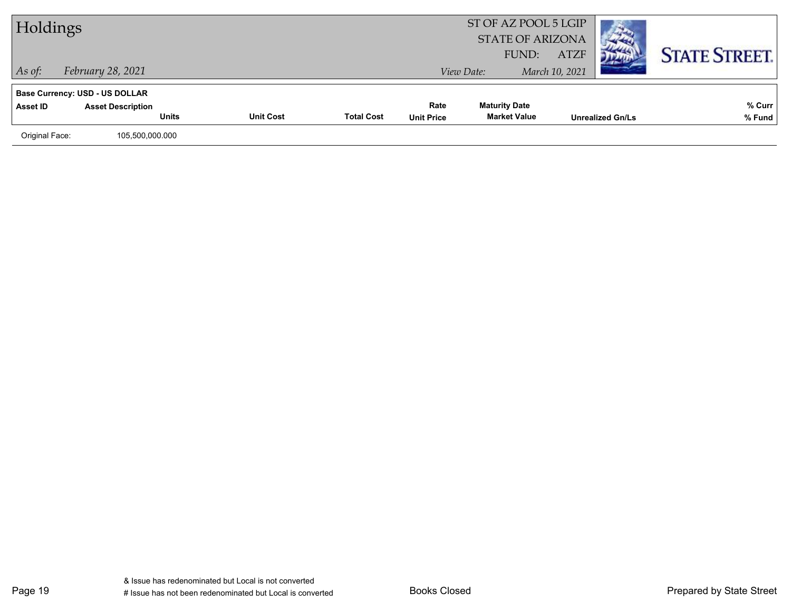| Holdings       |                                          |                  |                   |                           | ST OF AZ POOL 5 LGIP<br><b>STATE OF ARIZONA</b><br>FUND: | <b>ATZF</b>    |                         | <b>STATE STREET.</b> |
|----------------|------------------------------------------|------------------|-------------------|---------------------------|----------------------------------------------------------|----------------|-------------------------|----------------------|
| $\vert$ As of: | February 28, 2021                        |                  |                   |                           | View Date:                                               | March 10, 2021 |                         |                      |
|                | <b>Base Currency: USD - US DOLLAR</b>    |                  |                   |                           |                                                          |                |                         |                      |
| Asset ID       | <b>Asset Description</b><br><b>Units</b> | <b>Unit Cost</b> | <b>Total Cost</b> | Rate<br><b>Unit Price</b> | <b>Maturity Date</b><br><b>Market Value</b>              |                | <b>Unrealized Gn/Ls</b> | % Curr<br>% Fund     |
|                |                                          |                  |                   |                           |                                                          |                |                         |                      |
| Original Face: | 105,500,000.000                          |                  |                   |                           |                                                          |                |                         |                      |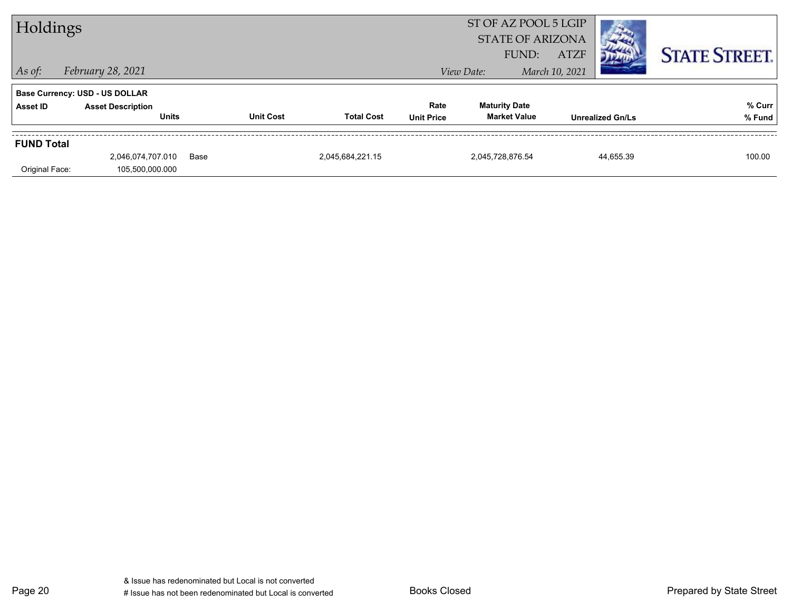| Holdings          |                                          |      |                  |                   |                           | ST OF AZ POOL 5 LGIP<br><b>STATE OF ARIZONA</b><br>FUND: | <b>ATZF</b>    |                         |                      |
|-------------------|------------------------------------------|------|------------------|-------------------|---------------------------|----------------------------------------------------------|----------------|-------------------------|----------------------|
| $\vert$ As of:    | February 28, 2021                        |      |                  |                   |                           | View Date:                                               | March 10, 2021 |                         | <b>STATE STREET.</b> |
|                   | <b>Base Currency: USD - US DOLLAR</b>    |      |                  |                   |                           |                                                          |                |                         |                      |
| Asset ID          | <b>Asset Description</b><br><b>Units</b> |      | <b>Unit Cost</b> | <b>Total Cost</b> | Rate<br><b>Unit Price</b> | <b>Maturity Date</b><br><b>Market Value</b>              |                | <b>Unrealized Gn/Ls</b> | % Curr<br>% Fund     |
| <b>FUND Total</b> |                                          |      |                  |                   |                           |                                                          |                |                         |                      |
| Original Face:    | 2,046,074,707.010<br>105,500,000.000     | Base |                  | 2,045,684,221.15  |                           | 2,045,728,876.54                                         |                | 44,655.39               | 100.00               |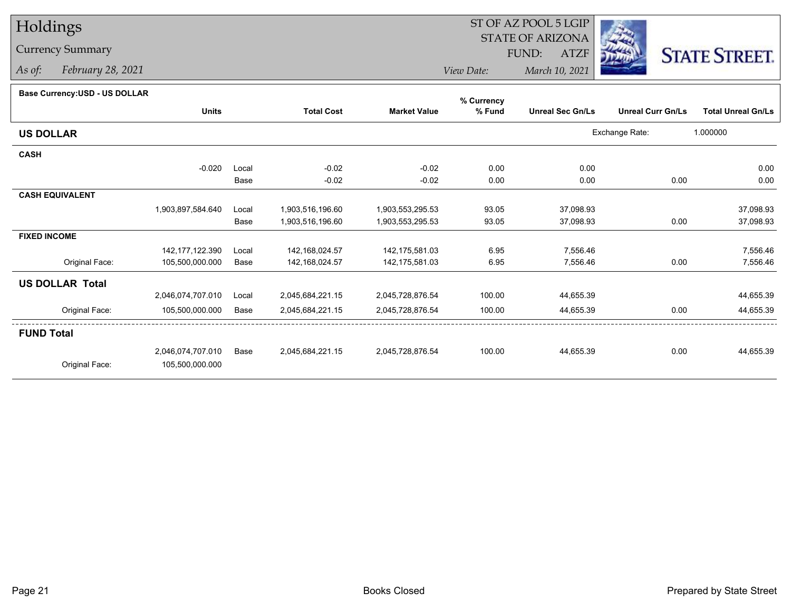## Holdings

## Currency Summary

*As of: February 28, 2021*

## **Base Currency:USD - US DOLLAR**

|                        |                   |       |                   |                     | % Currency |                         |                          |                           |
|------------------------|-------------------|-------|-------------------|---------------------|------------|-------------------------|--------------------------|---------------------------|
|                        | <b>Units</b>      |       | <b>Total Cost</b> | <b>Market Value</b> | % Fund     | <b>Unreal Sec Gn/Ls</b> | <b>Unreal Curr Gn/Ls</b> | <b>Total Unreal Gn/Ls</b> |
| <b>US DOLLAR</b>       |                   |       |                   |                     |            |                         | Exchange Rate:           | 1.000000                  |
| <b>CASH</b>            |                   |       |                   |                     |            |                         |                          |                           |
|                        | $-0.020$          | Local | $-0.02$           | $-0.02$             | 0.00       | 0.00                    |                          | 0.00                      |
|                        |                   | Base  | $-0.02$           | $-0.02$             | 0.00       | 0.00                    | 0.00                     | 0.00                      |
| <b>CASH EQUIVALENT</b> |                   |       |                   |                     |            |                         |                          |                           |
|                        | 1,903,897,584.640 | Local | 1,903,516,196.60  | 1,903,553,295.53    | 93.05      | 37,098.93               |                          | 37,098.93                 |
|                        |                   | Base  | 1,903,516,196.60  | 1,903,553,295.53    | 93.05      | 37,098.93               | 0.00                     | 37,098.93                 |
| <b>FIXED INCOME</b>    |                   |       |                   |                     |            |                         |                          |                           |
|                        | 142,177,122.390   | Local | 142,168,024.57    | 142,175,581.03      | 6.95       | 7,556.46                |                          | 7,556.46                  |
| Original Face:         | 105,500,000.000   | Base  | 142,168,024.57    | 142,175,581.03      | 6.95       | 7,556.46                | 0.00                     | 7,556.46                  |
| <b>US DOLLAR Total</b> |                   |       |                   |                     |            |                         |                          |                           |
|                        | 2,046,074,707.010 | Local | 2,045,684,221.15  | 2,045,728,876.54    | 100.00     | 44,655.39               |                          | 44,655.39                 |
| Original Face:         | 105,500,000.000   | Base  | 2,045,684,221.15  | 2,045,728,876.54    | 100.00     | 44,655.39               | 0.00                     | 44,655.39                 |
| <b>FUND Total</b>      |                   |       |                   |                     |            |                         |                          |                           |
|                        | 2,046,074,707.010 | Base  | 2,045,684,221.15  | 2,045,728,876.54    | 100.00     | 44,655.39               | 0.00                     | 44,655.39                 |
| Original Face:         | 105,500,000.000   |       |                   |                     |            |                         |                          |                           |
|                        |                   |       |                   |                     |            |                         |                          |                           |



*View Date: March 10, 2021* FUND:

ST OF AZ POOL 5 LGIPSTATE OF ARIZONA

ATZF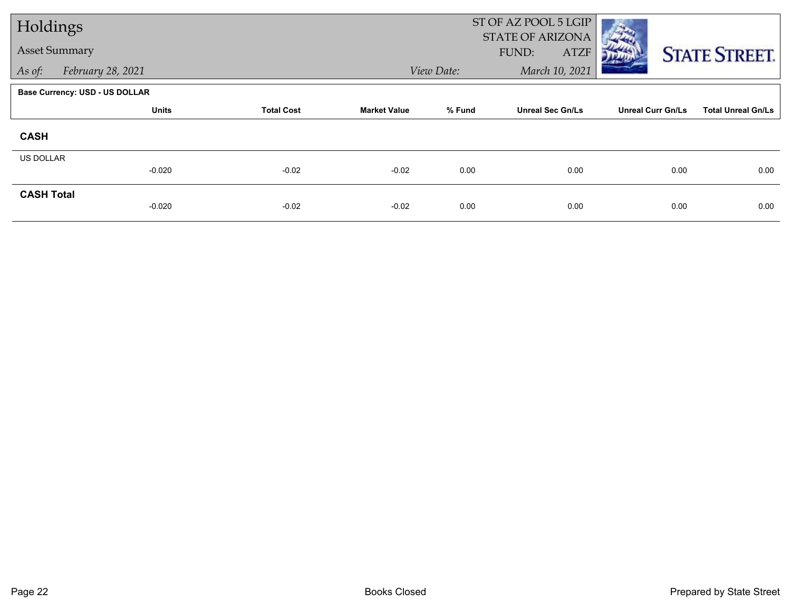| Holdings             |                                       |                   |                     |            | ST OF AZ POOL 5 LGIP<br><b>STATE OF ARIZONA</b> |                          |                           |  |
|----------------------|---------------------------------------|-------------------|---------------------|------------|-------------------------------------------------|--------------------------|---------------------------|--|
| <b>Asset Summary</b> |                                       |                   |                     |            | FUND:<br><b>ATZF</b>                            |                          | <b>STATE STREET.</b>      |  |
| As of:               | February 28, 2021                     |                   |                     | View Date: | March 10, 2021                                  |                          |                           |  |
|                      | <b>Base Currency: USD - US DOLLAR</b> |                   |                     |            |                                                 |                          |                           |  |
|                      | <b>Units</b>                          | <b>Total Cost</b> | <b>Market Value</b> | % Fund     | <b>Unreal Sec Gn/Ls</b>                         | <b>Unreal Curr Gn/Ls</b> | <b>Total Unreal Gn/Ls</b> |  |
| <b>CASH</b>          |                                       |                   |                     |            |                                                 |                          |                           |  |
| US DOLLAR            | $-0.020$                              | $-0.02$           | $-0.02$             | 0.00       | 0.00                                            | 0.00                     | 0.00                      |  |
|                      |                                       |                   |                     |            |                                                 |                          |                           |  |
| <b>CASH Total</b>    | $-0.020$                              | $-0.02$           | $-0.02$             | 0.00       | 0.00                                            | 0.00                     | 0.00                      |  |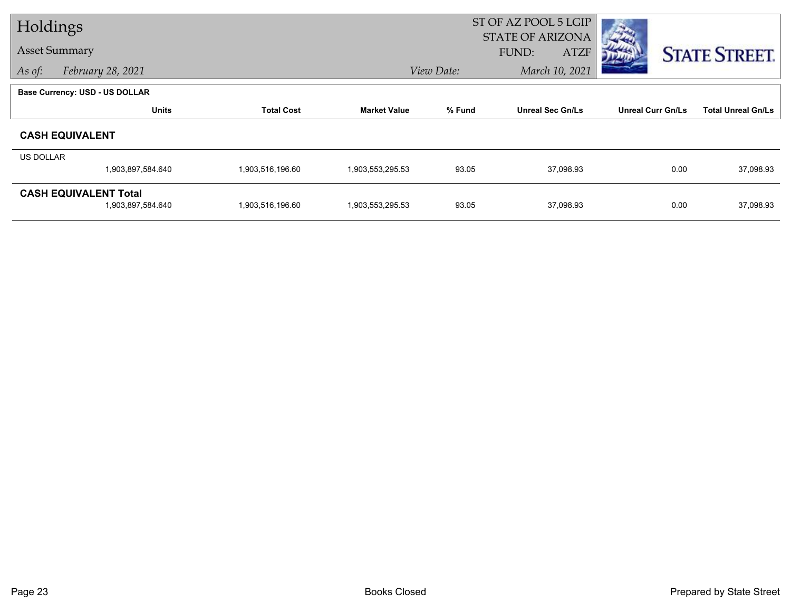| Holdings         |                                                   |                   |                     | ST OF AZ POOL 5 LGIP<br><b>STATE OF ARIZONA</b> |                         |                          |                           |  |  |
|------------------|---------------------------------------------------|-------------------|---------------------|-------------------------------------------------|-------------------------|--------------------------|---------------------------|--|--|
|                  | <b>Asset Summary</b>                              |                   |                     |                                                 | FUND:<br><b>ATZF</b>    |                          | <b>STATE STREET.</b>      |  |  |
| As of:           | February 28, 2021                                 |                   |                     | View Date:                                      | March 10, 2021          |                          |                           |  |  |
|                  | <b>Base Currency: USD - US DOLLAR</b>             |                   |                     |                                                 |                         |                          |                           |  |  |
|                  | <b>Units</b>                                      | <b>Total Cost</b> | <b>Market Value</b> | % Fund                                          | <b>Unreal Sec Gn/Ls</b> | <b>Unreal Curr Gn/Ls</b> | <b>Total Unreal Gn/Ls</b> |  |  |
|                  | <b>CASH EQUIVALENT</b>                            |                   |                     |                                                 |                         |                          |                           |  |  |
| <b>US DOLLAR</b> |                                                   |                   |                     |                                                 |                         |                          |                           |  |  |
|                  | 1,903,897,584.640                                 | 1,903,516,196.60  | 1,903,553,295.53    | 93.05                                           | 37,098.93               | 0.00                     | 37,098.93                 |  |  |
|                  | <b>CASH EQUIVALENT Total</b><br>1,903,897,584.640 | 1,903,516,196.60  | 1,903,553,295.53    | 93.05                                           | 37,098.93               | 0.00                     | 37,098.93                 |  |  |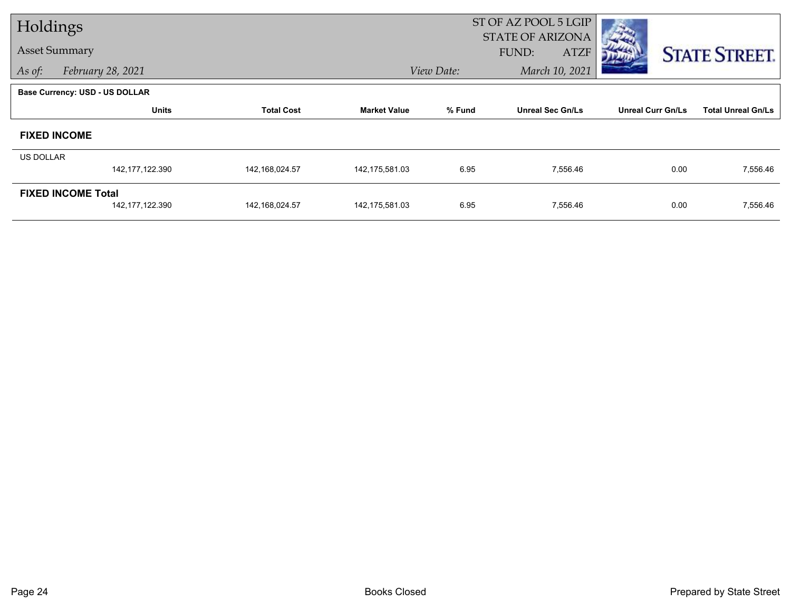| Holdings                  |                                |                   |                     |                                   | ST OF AZ POOL 5 LGIP<br><b>STATE OF ARIZONA</b> |                          |                           |  |
|---------------------------|--------------------------------|-------------------|---------------------|-----------------------------------|-------------------------------------------------|--------------------------|---------------------------|--|
| <b>Asset Summary</b>      |                                |                   |                     |                                   | FUND:<br><b>ATZF</b>                            |                          | <b>STATE STREET.</b>      |  |
| As of:                    | February 28, 2021              |                   |                     | View Date:                        | March 10, 2021                                  |                          |                           |  |
|                           | Base Currency: USD - US DOLLAR |                   |                     |                                   |                                                 |                          |                           |  |
|                           | <b>Units</b>                   | <b>Total Cost</b> | <b>Market Value</b> | % Fund<br><b>Unreal Sec Gn/Ls</b> |                                                 | <b>Unreal Curr Gn/Ls</b> | <b>Total Unreal Gn/Ls</b> |  |
|                           | <b>FIXED INCOME</b>            |                   |                     |                                   |                                                 |                          |                           |  |
| <b>US DOLLAR</b>          |                                |                   |                     |                                   |                                                 |                          |                           |  |
|                           | 142,177,122.390                | 142,168,024.57    | 142,175,581.03      | 6.95                              | 7,556.46                                        | 0.00                     | 7,556.46                  |  |
| <b>FIXED INCOME Total</b> |                                |                   |                     |                                   |                                                 |                          |                           |  |
|                           | 142, 177, 122.390              | 142,168,024.57    | 142,175,581.03      | 6.95                              | 7,556.46                                        | 0.00                     | 7,556.46                  |  |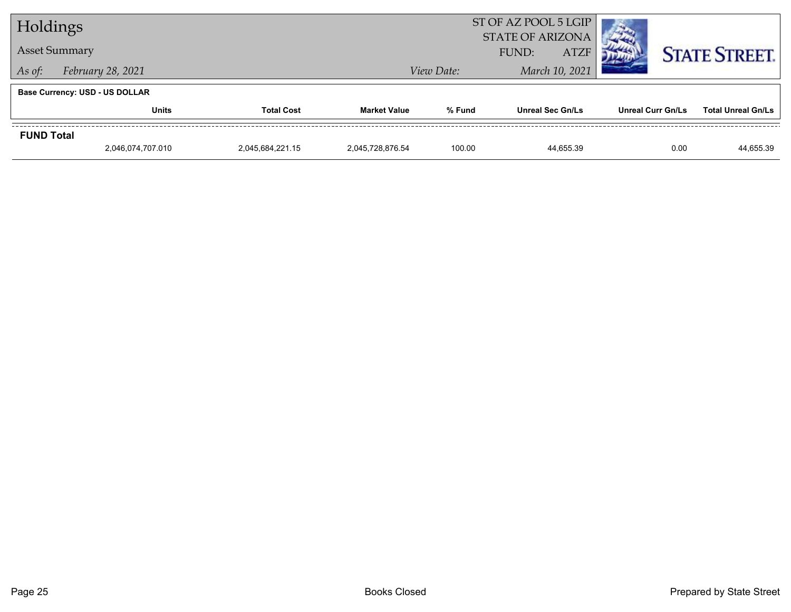| Holdings          |                                       |                   | ST OF AZ POOL 5 LGIP<br><b>STATE OF ARIZONA</b> |                |                         |                          |                           |
|-------------------|---------------------------------------|-------------------|-------------------------------------------------|----------------|-------------------------|--------------------------|---------------------------|
|                   | <b>Asset Summary</b>                  |                   |                                                 |                | <b>ATZF</b><br>FUND:    |                          | <b>STATE STREET.</b>      |
| As of:            | February 28, 2021                     |                   | View Date:                                      | March 10, 2021 |                         |                          |                           |
|                   | <b>Base Currency: USD - US DOLLAR</b> |                   |                                                 |                |                         |                          |                           |
|                   | <b>Units</b>                          | <b>Total Cost</b> | <b>Market Value</b>                             | % Fund         | <b>Unreal Sec Gn/Ls</b> | <b>Unreal Curr Gn/Ls</b> | <b>Total Unreal Gn/Ls</b> |
| <b>FUND Total</b> |                                       |                   |                                                 |                |                         |                          |                           |
|                   | 2,046,074,707.010                     | 2,045,684,221.15  | 2.045.728.876.54                                | 100.00         | 44.655.39               | 0.00                     | 44,655.39                 |